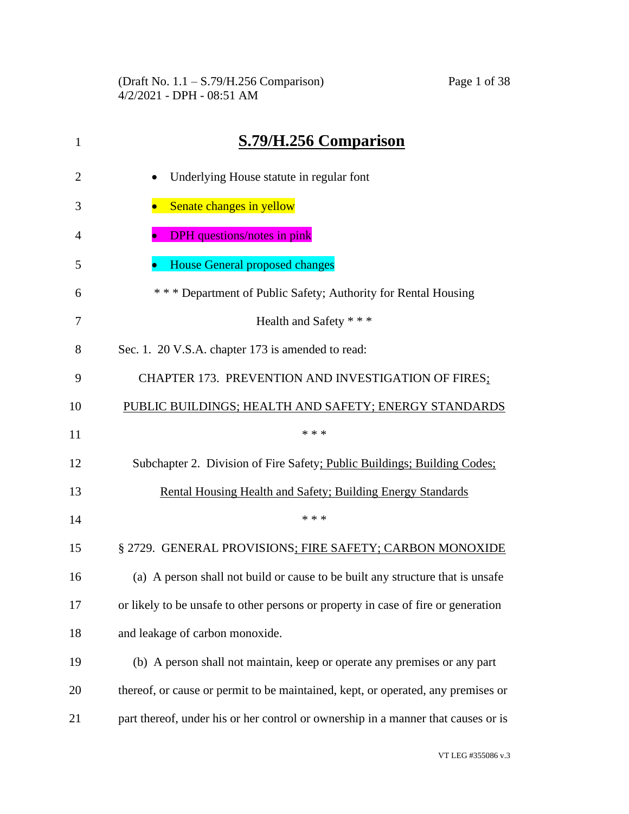(Draft No. 1.1 – S.79/H.256 Comparison) Page 1 of 38 4/2/2021 - DPH - 08:51 AM

| 1              | S.79/H.256 Comparison                                                             |
|----------------|-----------------------------------------------------------------------------------|
| $\overline{2}$ | Underlying House statute in regular font<br>$\bullet$                             |
| 3              | Senate changes in yellow                                                          |
| 4              | <b>DPH</b> questions/notes in pink                                                |
| 5              | <b>House General proposed changes</b>                                             |
| 6              | * * * Department of Public Safety; Authority for Rental Housing                   |
| 7              | Health and Safety * * *                                                           |
| 8              | Sec. 1. 20 V.S.A. chapter 173 is amended to read:                                 |
| 9              | CHAPTER 173. PREVENTION AND INVESTIGATION OF FIRES;                               |
| 10             | PUBLIC BUILDINGS; HEALTH AND SAFETY; ENERGY STANDARDS                             |
| 11             | * * *                                                                             |
| 12             | Subchapter 2. Division of Fire Safety; Public Buildings; Building Codes;          |
| 13             | Rental Housing Health and Safety; Building Energy Standards                       |
| 14             | * * *                                                                             |
| 15             | § 2729. GENERAL PROVISIONS; FIRE SAFETY; CARBON MONOXIDE                          |
| 16             | (a) A person shall not build or cause to be built any structure that is unsafe    |
| 17             | or likely to be unsafe to other persons or property in case of fire or generation |
| 18             | and leakage of carbon monoxide.                                                   |
| 19             | (b) A person shall not maintain, keep or operate any premises or any part         |
| 20             | thereof, or cause or permit to be maintained, kept, or operated, any premises or  |
| 21             | part thereof, under his or her control or ownership in a manner that causes or is |

VT LEG #355086 v.3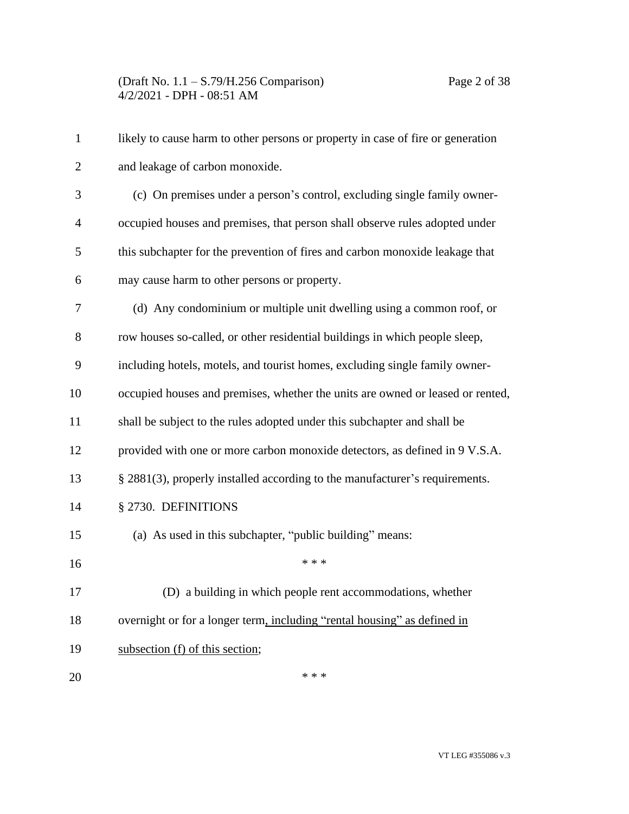| $\mathbf{1}$   | likely to cause harm to other persons or property in case of fire or generation |
|----------------|---------------------------------------------------------------------------------|
| $\overline{2}$ | and leakage of carbon monoxide.                                                 |
| 3              | (c) On premises under a person's control, excluding single family owner-        |
| 4              | occupied houses and premises, that person shall observe rules adopted under     |
| 5              | this subchapter for the prevention of fires and carbon monoxide leakage that    |
| 6              | may cause harm to other persons or property.                                    |
| 7              | (d) Any condominium or multiple unit dwelling using a common roof, or           |
| 8              | row houses so-called, or other residential buildings in which people sleep,     |
| 9              | including hotels, motels, and tourist homes, excluding single family owner-     |
| 10             | occupied houses and premises, whether the units are owned or leased or rented,  |
| 11             | shall be subject to the rules adopted under this subchapter and shall be        |
| 12             | provided with one or more carbon monoxide detectors, as defined in 9 V.S.A.     |
| 13             | § 2881(3), properly installed according to the manufacturer's requirements.     |
| 14             | § 2730. DEFINITIONS                                                             |
| 15             | (a) As used in this subchapter, "public building" means:                        |
| 16             | * * *                                                                           |
| 17             | (D) a building in which people rent accommodations, whether                     |
| 18             | overnight or for a longer term, including "rental housing" as defined in        |
| 19             | subsection (f) of this section;                                                 |
| 20             | * * *                                                                           |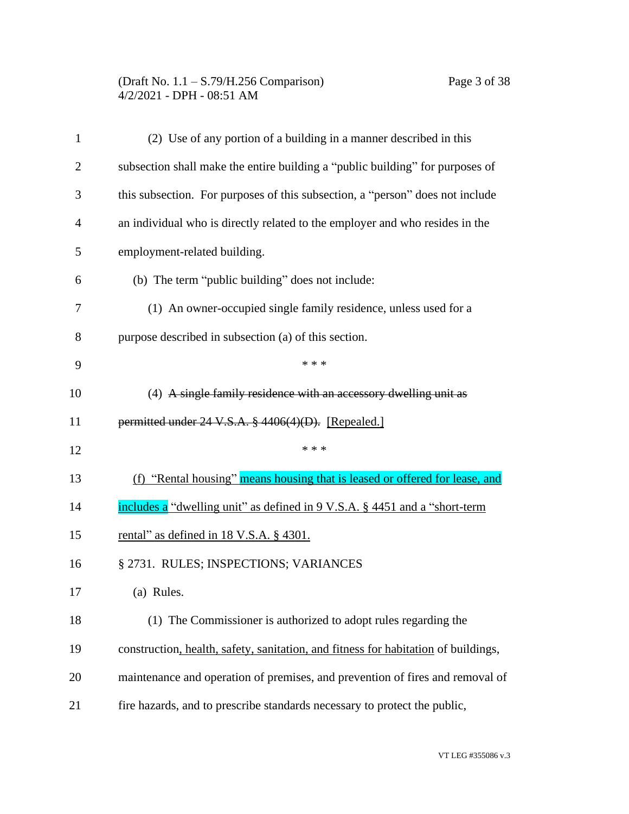# (Draft No. 1.1 – S.79/H.256 Comparison) Page 3 of 38 4/2/2021 - DPH - 08:51 AM

| $\mathbf{1}$   | (2) Use of any portion of a building in a manner described in this                 |
|----------------|------------------------------------------------------------------------------------|
| $\overline{2}$ | subsection shall make the entire building a "public building" for purposes of      |
| 3              | this subsection. For purposes of this subsection, a "person" does not include      |
| 4              | an individual who is directly related to the employer and who resides in the       |
| 5              | employment-related building.                                                       |
| 6              | (b) The term "public building" does not include:                                   |
| 7              | (1) An owner-occupied single family residence, unless used for a                   |
| 8              | purpose described in subsection (a) of this section.                               |
| 9              | * * *                                                                              |
| 10             | (4) A single family residence with an accessory dwelling unit as                   |
| 11             | permitted under 24 V.S.A. § 4406(4)(D). [Repealed.]                                |
| 12             | * * *                                                                              |
| 13             | (f) "Rental housing" means housing that is leased or offered for lease, and        |
| 14             | includes a "dwelling unit" as defined in 9 V.S.A. § 4451 and a "short-term         |
| 15             | rental" as defined in $18$ V.S.A. $\S$ 4301.                                       |
| 16             | § 2731. RULES; INSPECTIONS; VARIANCES                                              |
| 17             | (a) Rules.                                                                         |
| 18             | (1) The Commissioner is authorized to adopt rules regarding the                    |
| 19             | construction, health, safety, sanitation, and fitness for habitation of buildings, |
| 20             | maintenance and operation of premises, and prevention of fires and removal of      |
| 21             | fire hazards, and to prescribe standards necessary to protect the public,          |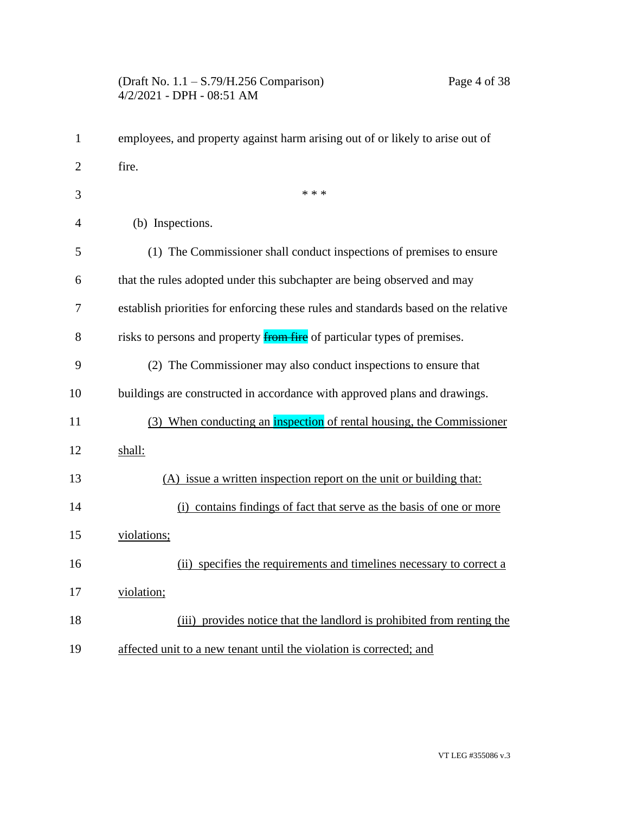| $\mathbf{1}$   | employees, and property against harm arising out of or likely to arise out of      |
|----------------|------------------------------------------------------------------------------------|
| $\overline{2}$ | fire.                                                                              |
| 3              | * * *                                                                              |
| $\overline{4}$ | (b) Inspections.                                                                   |
| 5              | (1) The Commissioner shall conduct inspections of premises to ensure               |
| 6              | that the rules adopted under this subchapter are being observed and may            |
| 7              | establish priorities for enforcing these rules and standards based on the relative |
| 8              | risks to persons and property <b>from fire</b> of particular types of premises.    |
| 9              | (2) The Commissioner may also conduct inspections to ensure that                   |
| 10             | buildings are constructed in accordance with approved plans and drawings.          |
| 11             | (3) When conducting an inspection of rental housing, the Commissioner              |
| 12             | shall:                                                                             |
| 13             | (A) issue a written inspection report on the unit or building that:                |
| 14             | (i) contains findings of fact that serve as the basis of one or more               |
| 15             | violations;                                                                        |
| 16             | (ii) specifies the requirements and timelines necessary to correct a               |
| 17             | violation;                                                                         |
| 18             | (iii) provides notice that the landlord is prohibited from renting the             |
| 19             | affected unit to a new tenant until the violation is corrected; and                |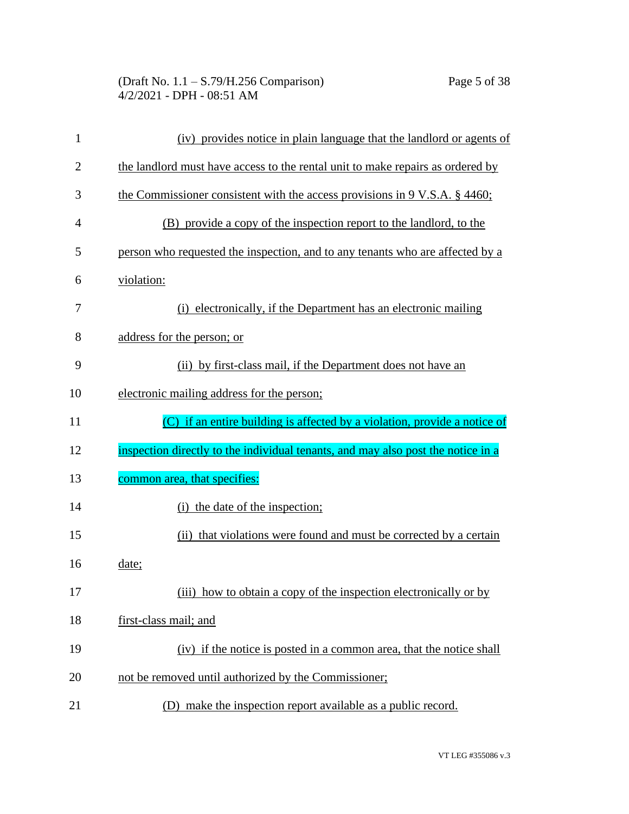| 1              | (iv) provides notice in plain language that the landlord or agents of            |
|----------------|----------------------------------------------------------------------------------|
| $\overline{2}$ | the landlord must have access to the rental unit to make repairs as ordered by   |
| 3              | the Commissioner consistent with the access provisions in $9 V.S.A. \S 4460$ ;   |
| $\overline{4}$ | (B) provide a copy of the inspection report to the landlord, to the              |
| 5              | person who requested the inspection, and to any tenants who are affected by a    |
| 6              | violation:                                                                       |
| 7              | electronically, if the Department has an electronic mailing<br>(i)               |
| 8              | address for the person; or                                                       |
| 9              | (ii) by first-class mail, if the Department does not have an                     |
| 10             | electronic mailing address for the person;                                       |
| 11             | (C) if an entire building is affected by a violation, provide a notice of        |
| 12             | inspection directly to the individual tenants, and may also post the notice in a |
| 13             | common area, that specifies:                                                     |
| 14             | (i) the date of the inspection;                                                  |
| 15             | (ii) that violations were found and must be corrected by a certain               |
| 16             | date;                                                                            |
| 17             | (iii)<br>how to obtain a copy of the inspection electronically or by             |
| 18             | first-class mail; and                                                            |
| 19             | (iv) if the notice is posted in a common area, that the notice shall             |
| 20             | not be removed until authorized by the Commissioner;                             |
| 21             | (D) make the inspection report available as a public record.                     |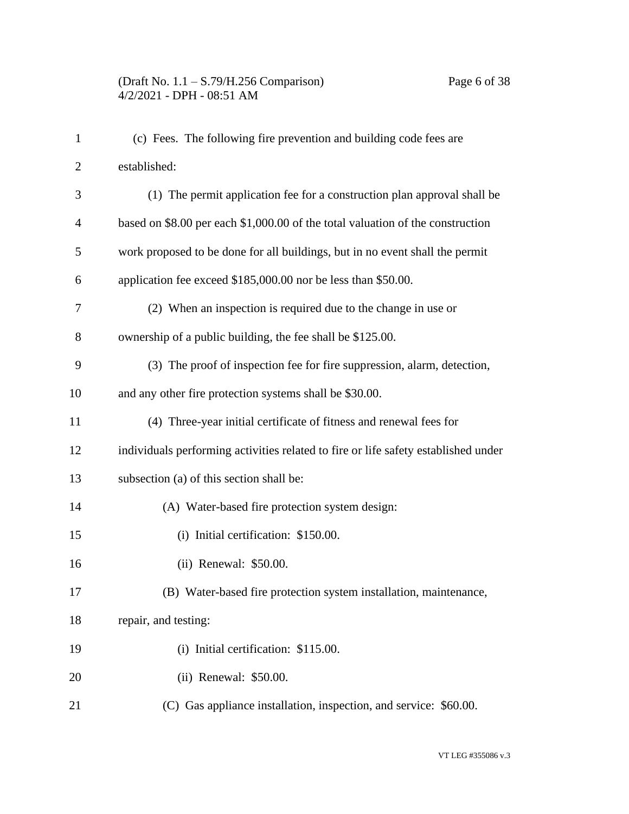# (Draft No. 1.1 – S.79/H.256 Comparison) Page 6 of 38 4/2/2021 - DPH - 08:51 AM

| $\mathbf{1}$   | (c) Fees. The following fire prevention and building code fees are                 |
|----------------|------------------------------------------------------------------------------------|
| $\overline{c}$ | established:                                                                       |
| 3              | (1) The permit application fee for a construction plan approval shall be           |
| $\overline{4}$ | based on \$8.00 per each \$1,000.00 of the total valuation of the construction     |
| 5              | work proposed to be done for all buildings, but in no event shall the permit       |
| 6              | application fee exceed \$185,000.00 nor be less than \$50.00.                      |
| 7              | (2) When an inspection is required due to the change in use or                     |
| 8              | ownership of a public building, the fee shall be \$125.00.                         |
| 9              | (3) The proof of inspection fee for fire suppression, alarm, detection,            |
| 10             | and any other fire protection systems shall be \$30.00.                            |
| 11             | (4) Three-year initial certificate of fitness and renewal fees for                 |
| 12             | individuals performing activities related to fire or life safety established under |
| 13             | subsection (a) of this section shall be:                                           |
| 14             | (A) Water-based fire protection system design:                                     |
| 15             | (i) Initial certification: \$150.00.                                               |
| 16             | (ii) Renewal: \$50.00.                                                             |
| 17             | (B) Water-based fire protection system installation, maintenance,                  |
| 18             | repair, and testing:                                                               |
| 19             | (i) Initial certification: \$115.00.                                               |
| 20             | (ii) Renewal: \$50.00.                                                             |
| 21             | (C) Gas appliance installation, inspection, and service: \$60.00.                  |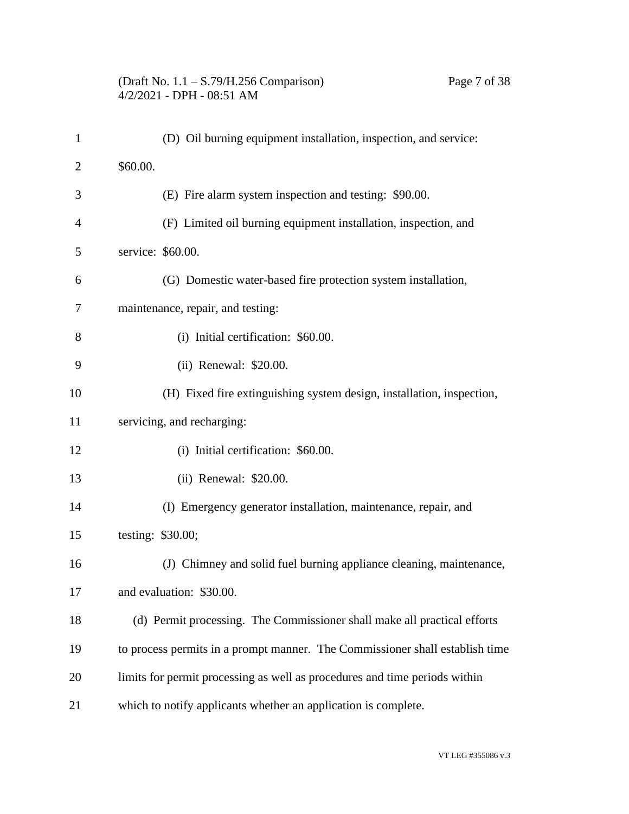#### (Draft No. 1.1 – S.79/H.256 Comparison) Page 7 of 38 4/2/2021 - DPH - 08:51 AM

| $\mathbf{1}$   | (D) Oil burning equipment installation, inspection, and service:             |
|----------------|------------------------------------------------------------------------------|
| $\overline{2}$ | \$60.00.                                                                     |
| 3              | (E) Fire alarm system inspection and testing: \$90.00.                       |
| 4              | (F) Limited oil burning equipment installation, inspection, and              |
| 5              | service: \$60.00.                                                            |
| 6              | (G) Domestic water-based fire protection system installation,                |
| 7              | maintenance, repair, and testing:                                            |
| 8              | (i) Initial certification: \$60.00.                                          |
| 9              | (ii) Renewal: \$20.00.                                                       |
| 10             | (H) Fixed fire extinguishing system design, installation, inspection,        |
| 11             | servicing, and recharging:                                                   |
| 12             | (i) Initial certification: \$60.00.                                          |
| 13             | (ii) Renewal: \$20.00.                                                       |
| 14             | (I) Emergency generator installation, maintenance, repair, and               |
| 15             | testing: \$30.00;                                                            |
| 16             | (J) Chimney and solid fuel burning appliance cleaning, maintenance,          |
| 17             | and evaluation: \$30.00.                                                     |
| 18             | (d) Permit processing. The Commissioner shall make all practical efforts     |
| 19             | to process permits in a prompt manner. The Commissioner shall establish time |
| 20             | limits for permit processing as well as procedures and time periods within   |
| 21             | which to notify applicants whether an application is complete.               |
|                |                                                                              |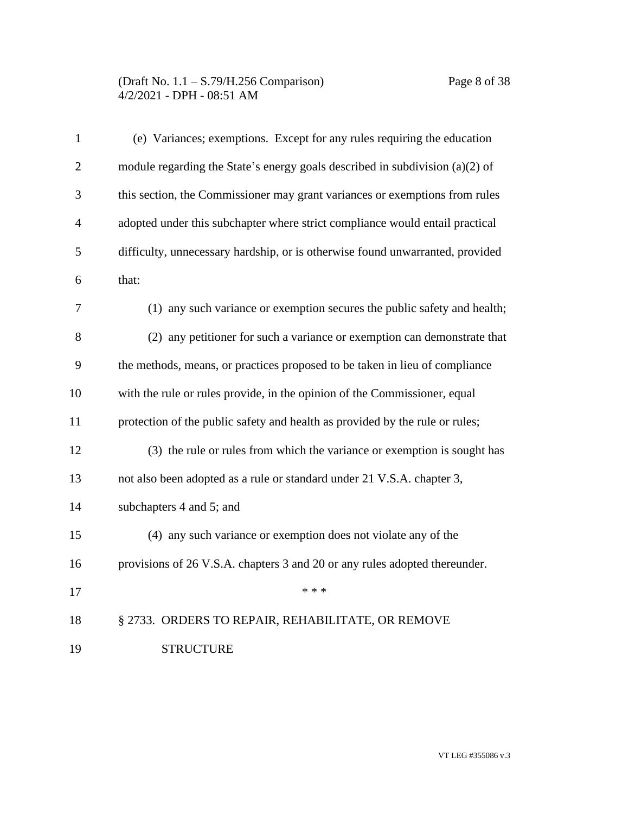| $\mathbf{1}$   | (e) Variances; exemptions. Except for any rules requiring the education       |
|----------------|-------------------------------------------------------------------------------|
| $\mathfrak{2}$ | module regarding the State's energy goals described in subdivision (a)(2) of  |
| 3              | this section, the Commissioner may grant variances or exemptions from rules   |
| $\overline{4}$ | adopted under this subchapter where strict compliance would entail practical  |
| 5              | difficulty, unnecessary hardship, or is otherwise found unwarranted, provided |
| 6              | that:                                                                         |
| 7              | (1) any such variance or exemption secures the public safety and health;      |
| 8              | (2) any petitioner for such a variance or exemption can demonstrate that      |
| 9              | the methods, means, or practices proposed to be taken in lieu of compliance   |
| 10             | with the rule or rules provide, in the opinion of the Commissioner, equal     |
| 11             | protection of the public safety and health as provided by the rule or rules;  |
| 12             | (3) the rule or rules from which the variance or exemption is sought has      |
| 13             | not also been adopted as a rule or standard under 21 V.S.A. chapter 3,        |
| 14             | subchapters 4 and 5; and                                                      |
| 15             | (4) any such variance or exemption does not violate any of the                |
| 16             | provisions of 26 V.S.A. chapters 3 and 20 or any rules adopted thereunder.    |
| 17             | * * *                                                                         |
| 18             | § 2733. ORDERS TO REPAIR, REHABILITATE, OR REMOVE                             |
| 19             | <b>STRUCTURE</b>                                                              |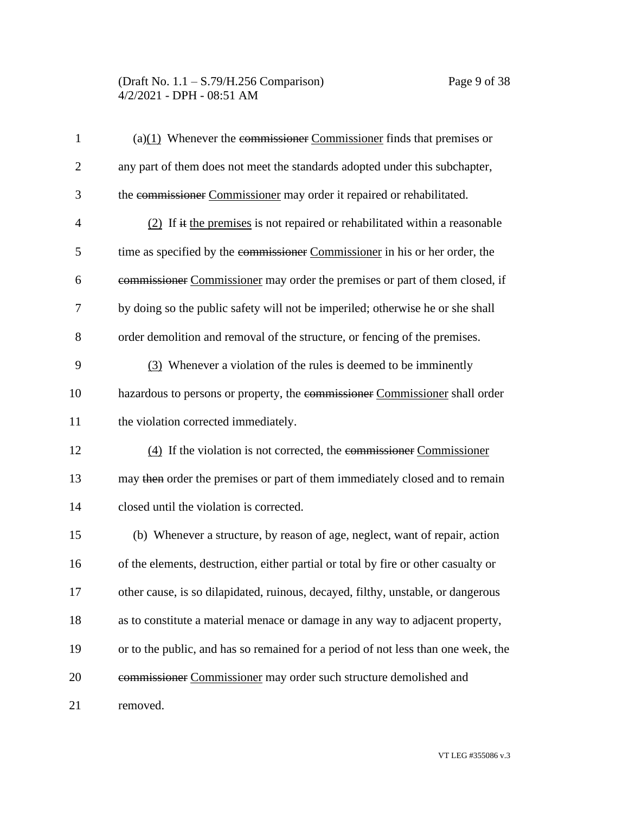| $\mathbf{1}$   | $(a)(1)$ Whenever the commissioner Commissioner finds that premises or             |
|----------------|------------------------------------------------------------------------------------|
| $\overline{2}$ | any part of them does not meet the standards adopted under this subchapter,        |
| 3              | the commissioner Commissioner may order it repaired or rehabilitated.              |
| 4              | $(2)$ If it the premises is not repaired or rehabilitated within a reasonable      |
| 5              | time as specified by the commissioner Commissioner in his or her order, the        |
| 6              | commissioner Commissioner may order the premises or part of them closed, if        |
| 7              | by doing so the public safety will not be imperiled; otherwise he or she shall     |
| 8              | order demolition and removal of the structure, or fencing of the premises.         |
| 9              | (3) Whenever a violation of the rules is deemed to be imminently                   |
| 10             | hazardous to persons or property, the commissioner Commissioner shall order        |
| 11             | the violation corrected immediately.                                               |
| 12             | $(4)$ If the violation is not corrected, the commissioner Commissioner             |
| 13             | may then order the premises or part of them immediately closed and to remain       |
| 14             | closed until the violation is corrected.                                           |
| 15             | (b) Whenever a structure, by reason of age, neglect, want of repair, action        |
| 16             | of the elements, destruction, either partial or total by fire or other casualty or |
| 17             | other cause, is so dilapidated, ruinous, decayed, filthy, unstable, or dangerous   |
| 18             | as to constitute a material menace or damage in any way to adjacent property,      |
| 19             | or to the public, and has so remained for a period of not less than one week, the  |
| 20             | commissioner Commissioner may order such structure demolished and                  |
| 21             | removed.                                                                           |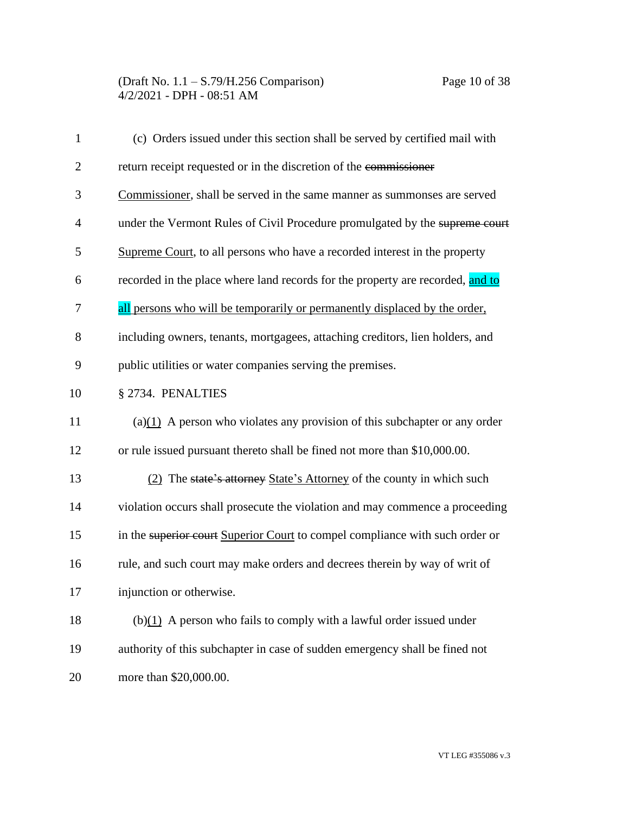| $\mathbf{1}$   | (c) Orders issued under this section shall be served by certified mail with    |
|----------------|--------------------------------------------------------------------------------|
| $\overline{2}$ | return receipt requested or in the discretion of the commissioner              |
| 3              | Commissioner, shall be served in the same manner as summonses are served       |
| $\overline{4}$ | under the Vermont Rules of Civil Procedure promulgated by the supreme court    |
| 5              | Supreme Court, to all persons who have a recorded interest in the property     |
| 6              | recorded in the place where land records for the property are recorded, and to |
| 7              | all persons who will be temporarily or permanently displaced by the order,     |
| 8              | including owners, tenants, mortgagees, attaching creditors, lien holders, and  |
| 9              | public utilities or water companies serving the premises.                      |
| 10             | § 2734. PENALTIES                                                              |
| 11             | $(a)(1)$ A person who violates any provision of this subchapter or any order   |
| 12             | or rule issued pursuant thereto shall be fined not more than \$10,000.00.      |
| 13             | (2) The state's attorney State's Attorney of the county in which such          |
| 14             | violation occurs shall prosecute the violation and may commence a proceeding   |
| 15             | in the superior court Superior Court to compel compliance with such order or   |
| 16             | rule, and such court may make orders and decrees therein by way of writ of     |
| 17             | injunction or otherwise.                                                       |
| 18             | $(b)(1)$ A person who fails to comply with a lawful order issued under         |
| 19             | authority of this subchapter in case of sudden emergency shall be fined not    |
| 20             | more than \$20,000.00.                                                         |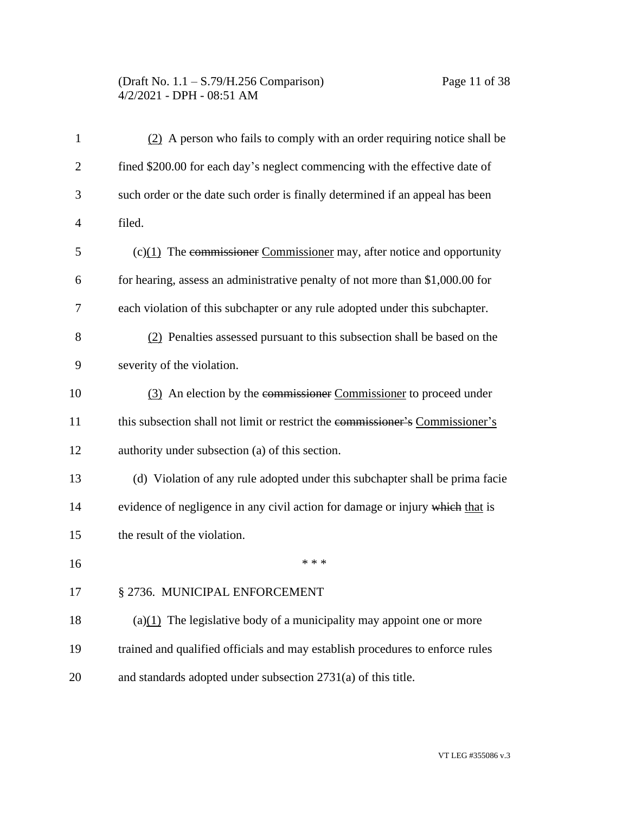# (Draft No. 1.1 – S.79/H.256 Comparison) Page 11 of 38 4/2/2021 - DPH - 08:51 AM

| $\mathbf{1}$   | $(2)$ A person who fails to comply with an order requiring notice shall be    |
|----------------|-------------------------------------------------------------------------------|
| $\overline{2}$ | fined \$200.00 for each day's neglect commencing with the effective date of   |
| 3              | such order or the date such order is finally determined if an appeal has been |
| $\overline{4}$ | filed.                                                                        |
| 5              | $(c)(1)$ The commissioner Commissioner may, after notice and opportunity      |
| 6              | for hearing, assess an administrative penalty of not more than \$1,000.00 for |
| 7              | each violation of this subchapter or any rule adopted under this subchapter.  |
| 8              | (2) Penalties assessed pursuant to this subsection shall be based on the      |
| 9              | severity of the violation.                                                    |
| 10             | (3) An election by the commissioner Commissioner to proceed under             |
| 11             | this subsection shall not limit or restrict the commissioner's Commissioner's |
| 12             | authority under subsection (a) of this section.                               |
| 13             | (d) Violation of any rule adopted under this subchapter shall be prima facie  |
| 14             | evidence of negligence in any civil action for damage or injury which that is |
| 15             | the result of the violation.                                                  |
| 16             | * * *                                                                         |
| 17             | § 2736. MUNICIPAL ENFORCEMENT                                                 |
| 18             | (a) $(1)$ The legislative body of a municipality may appoint one or more      |
| 19             | trained and qualified officials and may establish procedures to enforce rules |
| 20             | and standards adopted under subsection 2731(a) of this title.                 |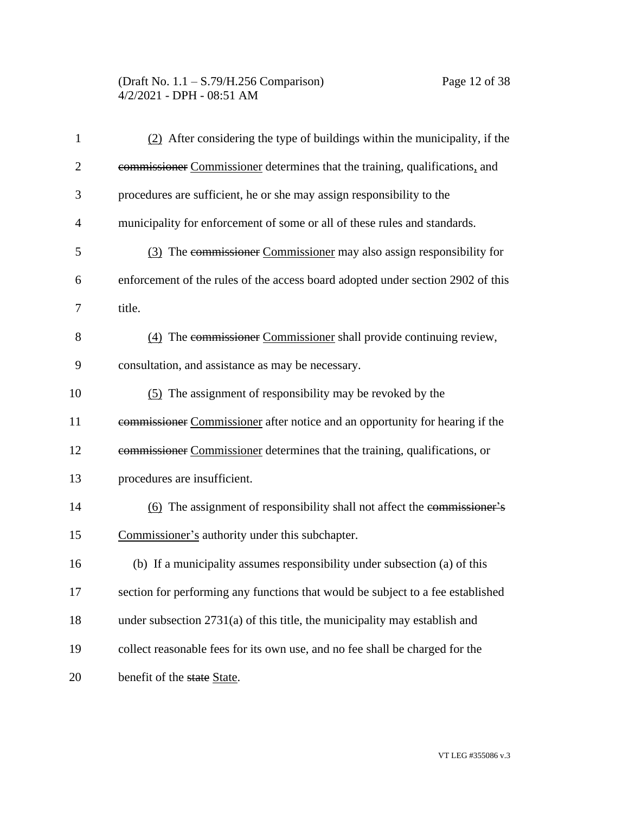(Draft No. 1.1 – S.79/H.256 Comparison) Page 12 of 38 4/2/2021 - DPH - 08:51 AM

| $\mathbf{1}$   | (2) After considering the type of buildings within the municipality, if the     |
|----------------|---------------------------------------------------------------------------------|
| $\overline{2}$ | commissioner Commissioner determines that the training, qualifications, and     |
| 3              | procedures are sufficient, he or she may assign responsibility to the           |
| $\overline{4}$ | municipality for enforcement of some or all of these rules and standards.       |
| 5              | (3) The commissioner Commissioner may also assign responsibility for            |
| 6              | enforcement of the rules of the access board adopted under section 2902 of this |
| 7              | title.                                                                          |
| 8              | (4) The commissioner Commissioner shall provide continuing review,              |
| 9              | consultation, and assistance as may be necessary.                               |
| 10             | (5) The assignment of responsibility may be revoked by the                      |
| 11             | commissioner Commissioner after notice and an opportunity for hearing if the    |
| 12             | commissioner Commissioner determines that the training, qualifications, or      |
| 13             | procedures are insufficient.                                                    |
| 14             | (6) The assignment of responsibility shall not affect the commissioner's        |
| 15             | Commissioner's authority under this subchapter.                                 |
| 16             | (b) If a municipality assumes responsibility under subsection (a) of this       |
| 17             | section for performing any functions that would be subject to a fee established |
| 18             | under subsection $2731(a)$ of this title, the municipality may establish and    |
| 19             | collect reasonable fees for its own use, and no fee shall be charged for the    |
| 20             | benefit of the state State.                                                     |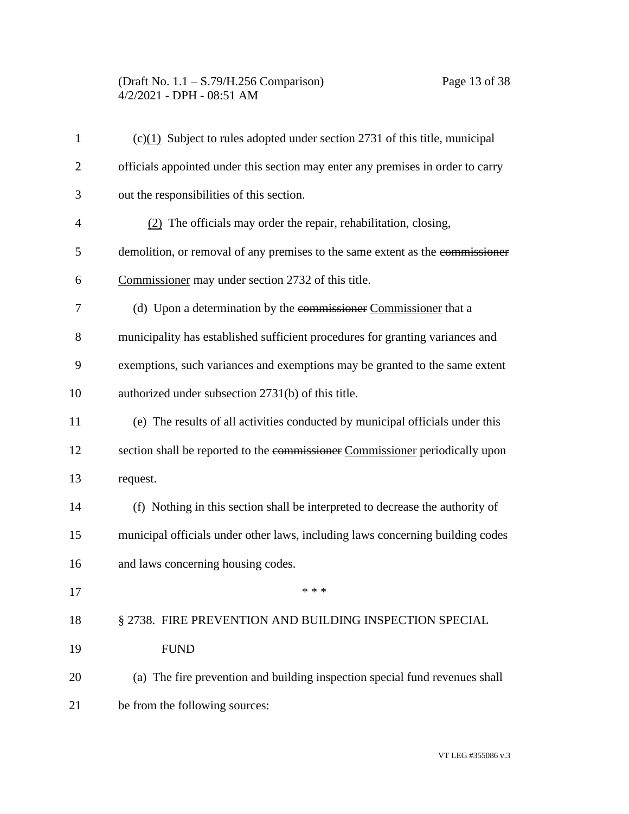# (Draft No. 1.1 – S.79/H.256 Comparison) Page 13 of 38 4/2/2021 - DPH - 08:51 AM

| $\mathbf{1}$   | $(c)(1)$ Subject to rules adopted under section 2731 of this title, municipal   |
|----------------|---------------------------------------------------------------------------------|
| $\overline{c}$ | officials appointed under this section may enter any premises in order to carry |
| 3              | out the responsibilities of this section.                                       |
| 4              | $(2)$ The officials may order the repair, rehabilitation, closing,              |
| 5              | demolition, or removal of any premises to the same extent as the commissioner   |
| 6              | Commissioner may under section 2732 of this title.                              |
| 7              | (d) Upon a determination by the commissioner Commissioner that a                |
| 8              | municipality has established sufficient procedures for granting variances and   |
| 9              | exemptions, such variances and exemptions may be granted to the same extent     |
| 10             | authorized under subsection 2731(b) of this title.                              |
| 11             | (e) The results of all activities conducted by municipal officials under this   |
| 12             | section shall be reported to the commissioner Commissioner periodically upon    |
| 13             | request.                                                                        |
| 14             | (f) Nothing in this section shall be interpreted to decrease the authority of   |
| 15             | municipal officials under other laws, including laws concerning building codes  |
| 16             | and laws concerning housing codes.                                              |
| 17             |                                                                                 |
| 18             | § 2738. FIRE PREVENTION AND BUILDING INSPECTION SPECIAL                         |
| 19             | <b>FUND</b>                                                                     |
| 20             | (a) The fire prevention and building inspection special fund revenues shall     |
| 21             | be from the following sources:                                                  |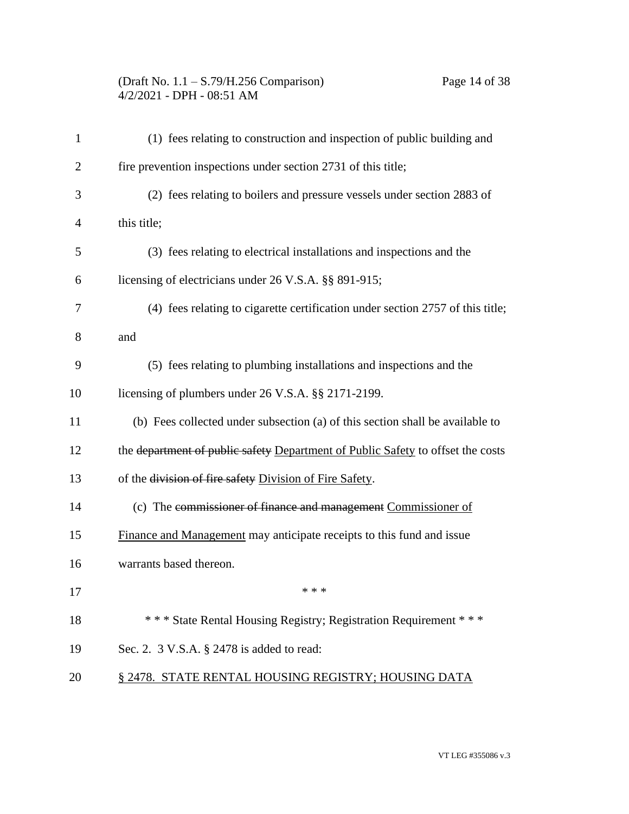# (Draft No. 1.1 – S.79/H.256 Comparison) Page 14 of 38 4/2/2021 - DPH - 08:51 AM

| 1              | (1) fees relating to construction and inspection of public building and         |
|----------------|---------------------------------------------------------------------------------|
| $\overline{2}$ | fire prevention inspections under section 2731 of this title;                   |
| 3              | (2) fees relating to boilers and pressure vessels under section 2883 of         |
| 4              | this title;                                                                     |
| 5              | (3) fees relating to electrical installations and inspections and the           |
| 6              | licensing of electricians under 26 V.S.A. §§ 891-915;                           |
| 7              | (4) fees relating to cigarette certification under section 2757 of this title;  |
| 8              | and                                                                             |
| 9              | (5) fees relating to plumbing installations and inspections and the             |
| 10             | licensing of plumbers under 26 V.S.A. §§ 2171-2199.                             |
| 11             | (b) Fees collected under subsection (a) of this section shall be available to   |
| 12             | the department of public safety Department of Public Safety to offset the costs |
| 13             | of the division of fire safety Division of Fire Safety.                         |
| 14             | (c) The commissioner of finance and management Commissioner of                  |
| 15             | Finance and Management may anticipate receipts to this fund and issue           |
| 16             | warrants based thereon.                                                         |
| 17             | * * *                                                                           |
| 18             | *** State Rental Housing Registry; Registration Requirement ***                 |
| 19             | Sec. 2. 3 V.S.A. § 2478 is added to read:                                       |
| 20             | § 2478. STATE RENTAL HOUSING REGISTRY; HOUSING DATA                             |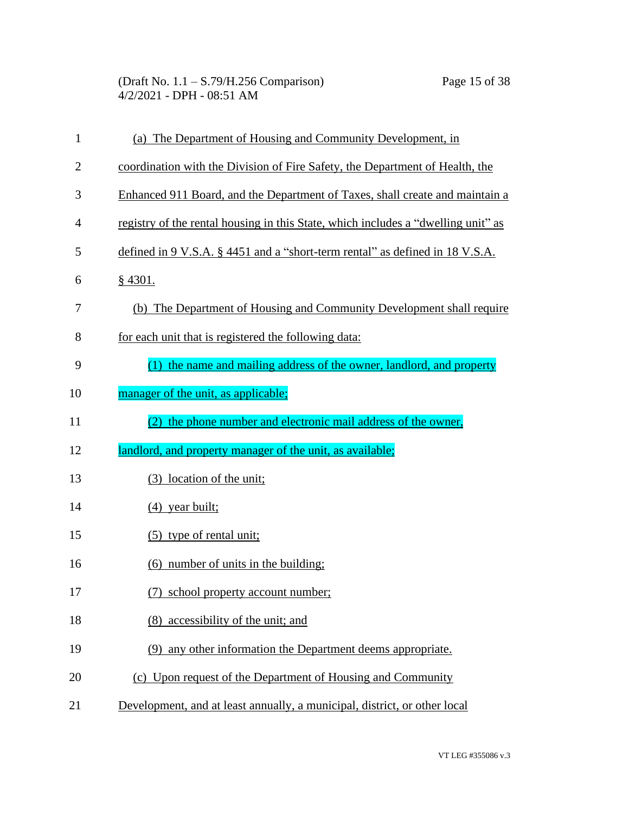(Draft No. 1.1 – S.79/H.256 Comparison) Page 15 of 38 4/2/2021 - DPH - 08:51 AM

| $\mathbf{1}$   | (a) The Department of Housing and Community Development, in                       |
|----------------|-----------------------------------------------------------------------------------|
| $\overline{2}$ | coordination with the Division of Fire Safety, the Department of Health, the      |
| 3              | Enhanced 911 Board, and the Department of Taxes, shall create and maintain a      |
| 4              | registry of the rental housing in this State, which includes a "dwelling unit" as |
| 5              | defined in 9 V.S.A. § 4451 and a "short-term rental" as defined in 18 V.S.A.      |
| 6              | $§$ 4301.                                                                         |
| 7              | (b) The Department of Housing and Community Development shall require             |
| 8              | for each unit that is registered the following data:                              |
| 9              | (1) the name and mailing address of the owner, landlord, and property             |
| 10             | manager of the unit, as applicable;                                               |
| 11             | the phone number and electronic mail address of the owner,                        |
| 12             | landlord, and property manager of the unit, as available;                         |
| 13             | (3) location of the unit;                                                         |
| 14             | $(4)$ year built;                                                                 |
| 15             | (5) type of rental unit;                                                          |
| 16             | (6) number of units in the building;                                              |
| 17             | (7) school property account number;                                               |
| 18             | (8) accessibility of the unit; and                                                |
| 19             | (9) any other information the Department deems appropriate.                       |
| 20             | (c) Upon request of the Department of Housing and Community                       |
|                |                                                                                   |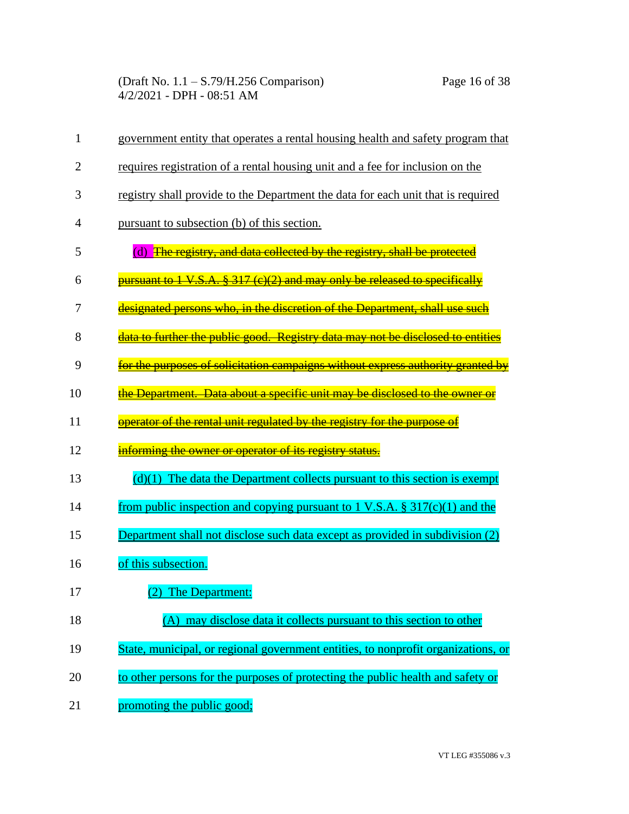(Draft No. 1.1 – S.79/H.256 Comparison) Page 16 of 38 4/2/2021 - DPH - 08:51 AM

| 1  | government entity that operates a rental housing health and safety program that   |
|----|-----------------------------------------------------------------------------------|
| 2  | requires registration of a rental housing unit and a fee for inclusion on the     |
| 3  | registry shall provide to the Department the data for each unit that is required  |
| 4  | pursuant to subsection (b) of this section.                                       |
| 5  | (d) The registry, and data collected by the registry, shall be protected          |
| 6  | pursuant to 1 V.S.A. § 317 (c)(2) and may only be released to specifically        |
| 7  | designated persons who, in the discretion of the Department, shall use such       |
| 8  | data to further the public good. Registry data may not be disclosed to entities   |
| 9  | for the purposes of solicitation campaigns without express authority granted by   |
| 10 | the Department. Data about a specific unit may be disclosed to the owner or       |
| 11 | operator of the rental unit regulated by the registry for the purpose of          |
| 12 | informing the owner or operator of its registry status.                           |
| 13 | $(d)(1)$ The data the Department collects pursuant to this section is exempt      |
| 14 | from public inspection and copying pursuant to 1 V.S.A. $\S 317(c)(1)$ and the    |
| 15 | Department shall not disclose such data except as provided in subdivision (2)     |
| 16 | of this subsection.                                                               |
| 17 | (2) The Department:                                                               |
| 18 | (A) may disclose data it collects pursuant to this section to other               |
| 19 | State, municipal, or regional government entities, to nonprofit organizations, or |
| 20 | to other persons for the purposes of protecting the public health and safety or   |
| 21 | promoting the public good;                                                        |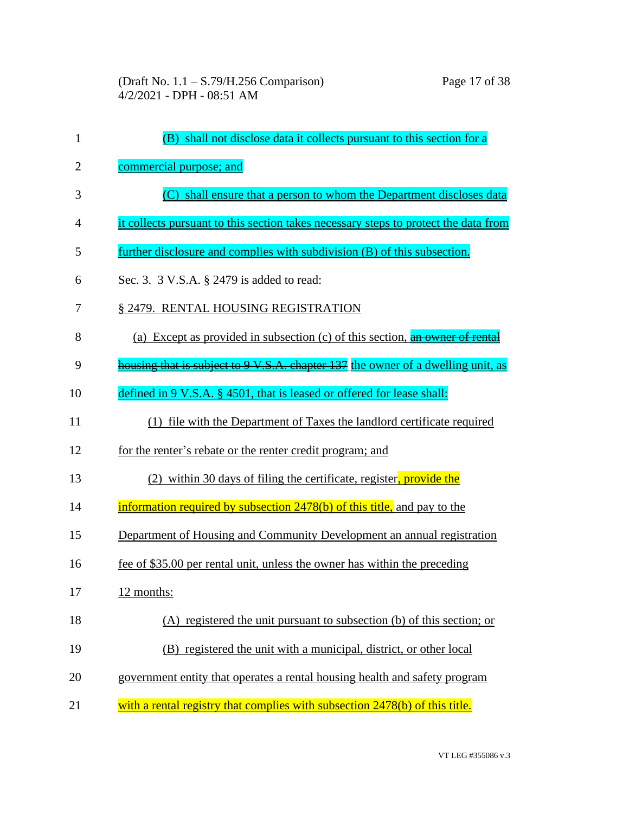| $\mathbf{1}$   | (B) shall not disclose data it collects pursuant to this section for a                      |
|----------------|---------------------------------------------------------------------------------------------|
| $\overline{2}$ | commercial purpose; and                                                                     |
| 3              | (C) shall ensure that a person to whom the Department discloses data                        |
| 4              | it collects pursuant to this section takes necessary steps to protect the data from         |
| 5              | further disclosure and complies with subdivision (B) of this subsection.                    |
| 6              | Sec. 3. 3 V.S.A. § 2479 is added to read:                                                   |
| 7              | § 2479. RENTAL HOUSING REGISTRATION                                                         |
| 8              | (a) Except as provided in subsection (c) of this section, $\frac{a_n}{b_n}$ owner of rental |
| 9              | housing that is subject to 9 V.S.A. chapter 137 the owner of a dwelling unit, as            |
| 10             | defined in 9 V.S.A. § 4501, that is leased or offered for lease shall:                      |
| 11             | (1) file with the Department of Taxes the landlord certificate required                     |
| 12             | for the renter's rebate or the renter credit program; and                                   |
| 13             | (2) within 30 days of filing the certificate, register, provide the                         |
| 14             | information required by subsection 2478(b) of this title, and pay to the                    |
| 15             | Department of Housing and Community Development an annual registration                      |
| 16             | fee of \$35.00 per rental unit, unless the owner has within the preceding                   |
| 17             | 12 months:                                                                                  |
| 18             | (A) registered the unit pursuant to subsection (b) of this section; or                      |
| 19             | (B) registered the unit with a municipal, district, or other local                          |
| 20             | government entity that operates a rental housing health and safety program                  |
| 21             | with a rental registry that complies with subsection 2478(b) of this title.                 |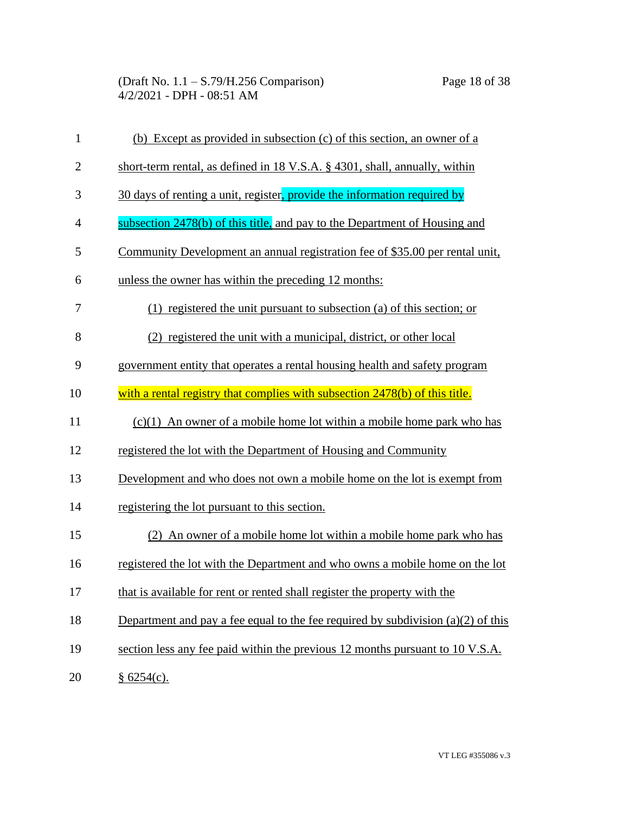| $\mathbf{1}$   | (b) Except as provided in subsection (c) of this section, an owner of a            |
|----------------|------------------------------------------------------------------------------------|
| $\overline{2}$ | short-term rental, as defined in 18 V.S.A. § 4301, shall, annually, within         |
| 3              | 30 days of renting a unit, register, provide the information required by           |
| $\overline{4}$ | subsection 2478(b) of this title, and pay to the Department of Housing and         |
| 5              | Community Development an annual registration fee of \$35.00 per rental unit,       |
| 6              | unless the owner has within the preceding 12 months:                               |
| 7              | $(1)$ registered the unit pursuant to subsection (a) of this section; or           |
| 8              | (2) registered the unit with a municipal, district, or other local                 |
| 9              | government entity that operates a rental housing health and safety program         |
| 10             | with a rental registry that complies with subsection 2478(b) of this title.        |
| 11             | $(c)(1)$ An owner of a mobile home lot within a mobile home park who has           |
| 12             | registered the lot with the Department of Housing and Community                    |
| 13             | Development and who does not own a mobile home on the lot is exempt from           |
| 14             | registering the lot pursuant to this section.                                      |
| 15             | (2) An owner of a mobile home lot within a mobile home park who has                |
| 16             | registered the lot with the Department and who owns a mobile home on the lot       |
| 17             | that is available for rent or rented shall register the property with the          |
| 18             | Department and pay a fee equal to the fee required by subdivision $(a)(2)$ of this |
| 19             | section less any fee paid within the previous 12 months pursuant to 10 V.S.A.      |
| 20             | § 6254(c).                                                                         |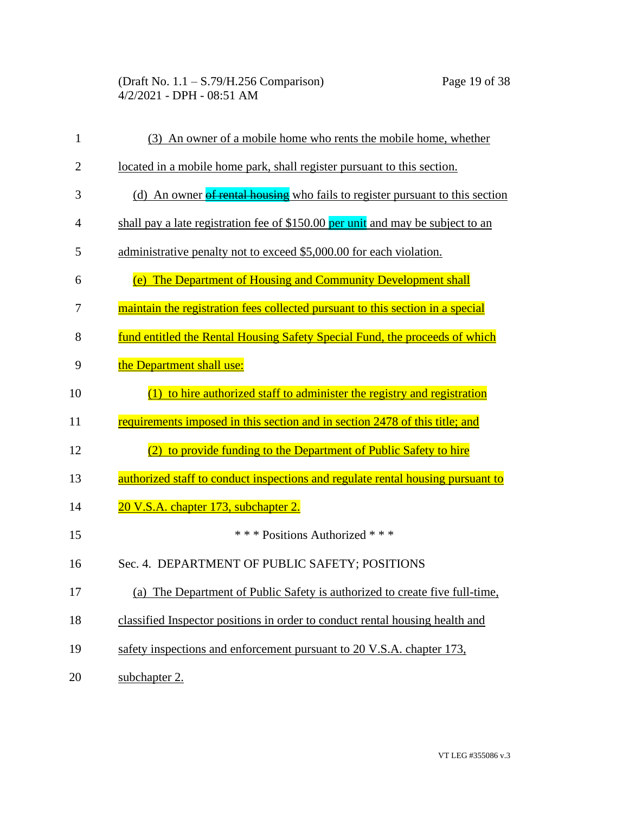| 1              | (3) An owner of a mobile home who rents the mobile home, whether                      |
|----------------|---------------------------------------------------------------------------------------|
| $\overline{2}$ | located in a mobile home park, shall register pursuant to this section.               |
| 3              | (d) An owner of rental housing who fails to register pursuant to this section         |
| 4              | shall pay a late registration fee of \$150.00 per unit and may be subject to an       |
| 5              | administrative penalty not to exceed \$5,000.00 for each violation.                   |
| 6              | (e) The Department of Housing and Community Development shall                         |
| 7              | <u>maintain the registration fees collected pursuant to this section in a special</u> |
| 8              | fund entitled the Rental Housing Safety Special Fund, the proceeds of which           |
| 9              | the Department shall use:                                                             |
| 10             | $(1)$ to hire authorized staff to administer the registry and registration            |
| 11             | requirements imposed in this section and in section 2478 of this title; and           |
| 12             | to provide funding to the Department of Public Safety to hire                         |
| 13             | authorized staff to conduct inspections and regulate rental housing pursuant to       |
| 14             | 20 V.S.A. chapter 173, subchapter 2.                                                  |
| 15             | *** Positions Authorized ***                                                          |
| 16             | Sec. 4. DEPARTMENT OF PUBLIC SAFETY; POSITIONS                                        |
| 17             | (a) The Department of Public Safety is authorized to create five full-time,           |
| 18             | classified Inspector positions in order to conduct rental housing health and          |
| 19             | safety inspections and enforcement pursuant to 20 V.S.A. chapter 173,                 |
| 20             | subchapter 2.                                                                         |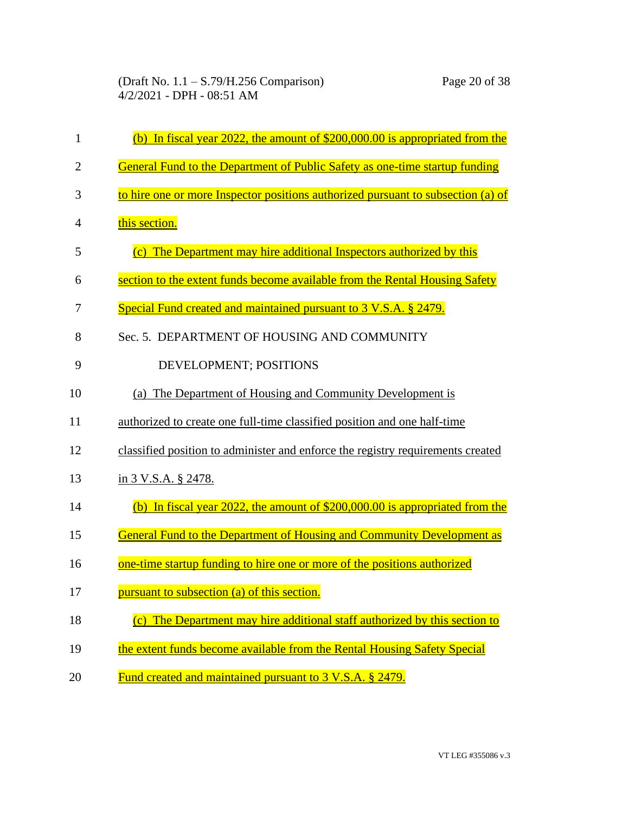| 1              | (b) In fiscal year 2022, the amount of $$200,000.00$ is appropriated from the    |
|----------------|----------------------------------------------------------------------------------|
| $\overline{2}$ | General Fund to the Department of Public Safety as one-time startup funding      |
| 3              | to hire one or more Inspector positions authorized pursuant to subsection (a) of |
| 4              | this section.                                                                    |
| 5              | (c) The Department may hire additional Inspectors authorized by this             |
| 6              | section to the extent funds become available from the Rental Housing Safety      |
| 7              | Special Fund created and maintained pursuant to 3 V.S.A. § 2479.                 |
| 8              | Sec. 5. DEPARTMENT OF HOUSING AND COMMUNITY                                      |
| 9              | DEVELOPMENT; POSITIONS                                                           |
| 10             | (a) The Department of Housing and Community Development is                       |
| 11             | authorized to create one full-time classified position and one half-time         |
| 12             | classified position to administer and enforce the registry requirements created  |
| 13             | in 3 V.S.A. § 2478.                                                              |
| 14             | (b) In fiscal year 2022, the amount of \$200,000.00 is appropriated from the     |
| 15             | General Fund to the Department of Housing and Community Development as           |
| 16             | one-time startup funding to hire one or more of the positions authorized         |
| 17             | pursuant to subsection (a) of this section.                                      |
| 18             | (c) The Department may hire additional staff authorized by this section to       |
| 19             | the extent funds become available from the Rental Housing Safety Special         |
| 20             | Fund created and maintained pursuant to 3 V.S.A. § 2479.                         |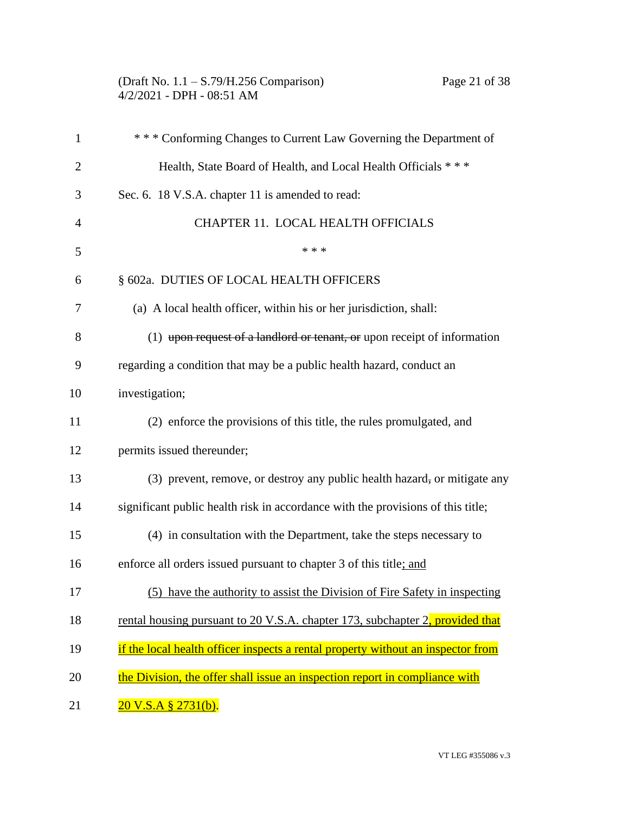| (Draft No. $1.1 - S.79/H.256$ Comparison) |
|-------------------------------------------|
| $4/2/2021$ - DPH - 08:51 AM               |

| 1              | *** Conforming Changes to Current Law Governing the Department of                |
|----------------|----------------------------------------------------------------------------------|
| $\overline{c}$ | Health, State Board of Health, and Local Health Officials ***                    |
| 3              | Sec. 6. 18 V.S.A. chapter 11 is amended to read:                                 |
| $\overline{4}$ | CHAPTER 11. LOCAL HEALTH OFFICIALS                                               |
| 5              | * * *                                                                            |
| 6              | § 602a. DUTIES OF LOCAL HEALTH OFFICERS                                          |
| 7              | (a) A local health officer, within his or her jurisdiction, shall:               |
| 8              | $(1)$ upon request of a landlord or tenant, or upon receipt of information       |
| 9              | regarding a condition that may be a public health hazard, conduct an             |
| 10             | investigation;                                                                   |
| 11             | (2) enforce the provisions of this title, the rules promulgated, and             |
| 12             | permits issued thereunder;                                                       |
| 13             | (3) prevent, remove, or destroy any public health hazard, or mitigate any        |
| 14             | significant public health risk in accordance with the provisions of this title;  |
| 15             | (4) in consultation with the Department, take the steps necessary to             |
| 16             | enforce all orders issued pursuant to chapter 3 of this title; and               |
| 17             | (5) have the authority to assist the Division of Fire Safety in inspecting       |
| 18             | rental housing pursuant to 20 V.S.A. chapter 173, subchapter 2, provided that    |
| 19             | if the local health officer inspects a rental property without an inspector from |
| 20             | the Division, the offer shall issue an inspection report in compliance with      |
| 21             | <u>20 V.S.A § 2731(b).</u>                                                       |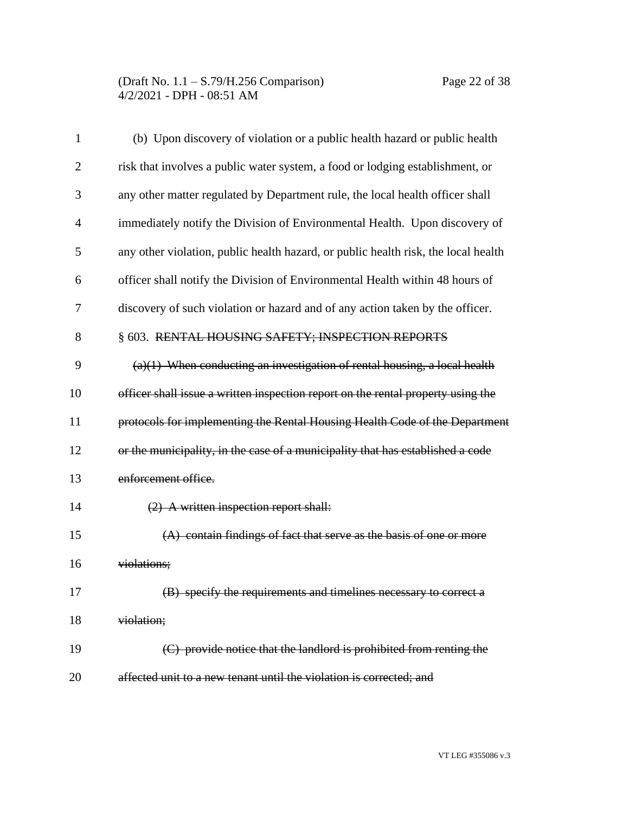| 1              | (b) Upon discovery of violation or a public health hazard or public health         |
|----------------|------------------------------------------------------------------------------------|
| $\overline{2}$ | risk that involves a public water system, a food or lodging establishment, or      |
| 3              | any other matter regulated by Department rule, the local health officer shall      |
| $\overline{4}$ | immediately notify the Division of Environmental Health. Upon discovery of         |
| 5              | any other violation, public health hazard, or public health risk, the local health |
| 6              | officer shall notify the Division of Environmental Health within 48 hours of       |
| 7              | discovery of such violation or hazard and of any action taken by the officer.      |
| 8              | § 603. RENTAL HOUSING SAFETY; INSPECTION REPORTS                                   |
| 9              | $(a)(1)$ When conducting an investigation of rental housing, a local health        |
| 10             | officer shall issue a written inspection report on the rental property using the   |
| 11             | protocols for implementing the Rental Housing Health Code of the Department        |
| 12             | or the municipality, in the case of a municipality that has established a code     |
| 13             | enforcement office.                                                                |
| 14             | $(2)$ A written inspection report shall:                                           |
| 15             | $(A)$ contain findings of fact that serve as the basis of one or more              |
| 16             | violations;                                                                        |
| 17             | (B) specify the requirements and timelines necessary to correct a                  |
| 18             | violation;                                                                         |
| 19             | (C) provide notice that the landlord is prohibited from renting the                |
| 20             | affected unit to a new tenant until the violation is corrected; and                |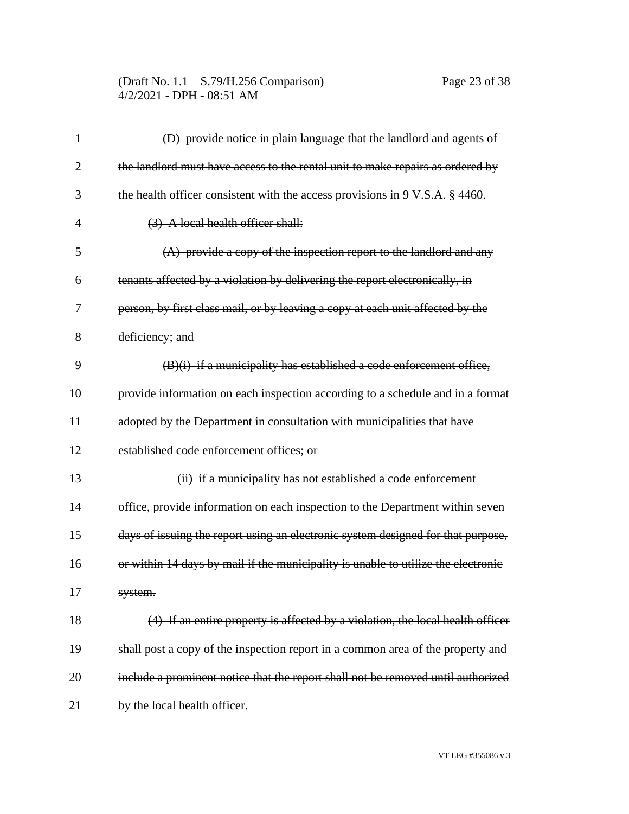| 1              | (D) provide notice in plain language that the landlord and agents of              |
|----------------|-----------------------------------------------------------------------------------|
| $\overline{2}$ | the landlord must have access to the rental unit to make repairs as ordered by    |
| 3              | the health officer consistent with the access provisions in 9 V.S.A. § 4460.      |
| 4              | (3) A local health officer shall:                                                 |
| 5              | (A) provide a copy of the inspection report to the landlord and any               |
| 6              | tenants affected by a violation by delivering the report electronically, in       |
| 7              | person, by first class mail, or by leaving a copy at each unit affected by the    |
| 8              | deficiency; and                                                                   |
| 9              | $(B)(i)$ if a municipality has established a code enforcement office,             |
| 10             | provide information on each inspection according to a schedule and in a format    |
| 11             | adopted by the Department in consultation with municipalities that have           |
| 12             | established code enforcement offices; or                                          |
| 13             | (ii) if a municipality has not established a code enforcement                     |
| 14             | office, provide information on each inspection to the Department within seven     |
| 15             | days of issuing the report using an electronic system designed for that purpose,  |
| 16             | or within 14 days by mail if the municipality is unable to utilize the electronic |
| 17             | system.                                                                           |
| 18             | (4) If an entire property is affected by a violation, the local health officer    |
| 19             | shall post a copy of the inspection report in a common area of the property and   |
| 20             | include a prominent notice that the report shall not be removed until authorized  |
| 21             | by the local health officer.                                                      |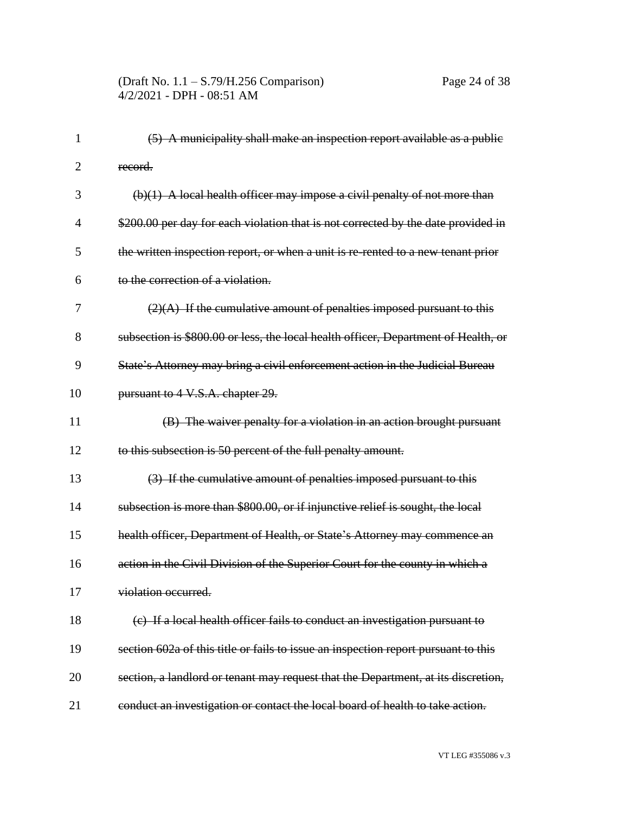| 1  | (5) A municipality shall make an inspection report available as a public           |
|----|------------------------------------------------------------------------------------|
| 2  | record.                                                                            |
| 3  | $(b)(1)$ A local health officer may impose a civil penalty of not more than        |
| 4  | \$200.00 per day for each violation that is not corrected by the date provided in  |
| 5  | the written inspection report, or when a unit is re-rented to a new tenant prior   |
| 6  | to the correction of a violation.                                                  |
| 7  | $(2)(A)$ If the cumulative amount of penalties imposed pursuant to this            |
| 8  | subsection is \$800.00 or less, the local health officer, Department of Health, or |
| 9  | State's Attorney may bring a civil enforcement action in the Judicial Bureau       |
| 10 | pursuant to 4 V.S.A. chapter 29.                                                   |
| 11 | (B) The waiver penalty for a violation in an action brought pursuant               |
| 12 | to this subsection is 50 percent of the full penalty amount.                       |
| 13 | (3) If the cumulative amount of penalties imposed pursuant to this                 |
| 14 | subsection is more than \$800.00, or if injunctive relief is sought, the local     |
| 15 | health officer, Department of Health, or State's Attorney may commence an          |
| 16 | action in the Civil Division of the Superior Court for the county in which a       |
| 17 | violation occurred.                                                                |
| 18 | (c) If a local health officer fails to conduct an investigation pursuant to        |
| 19 | section 602a of this title or fails to issue an inspection report pursuant to this |
| 20 | section, a landlord or tenant may request that the Department, at its discretion,  |
| 21 | conduct an investigation or contact the local board of health to take action.      |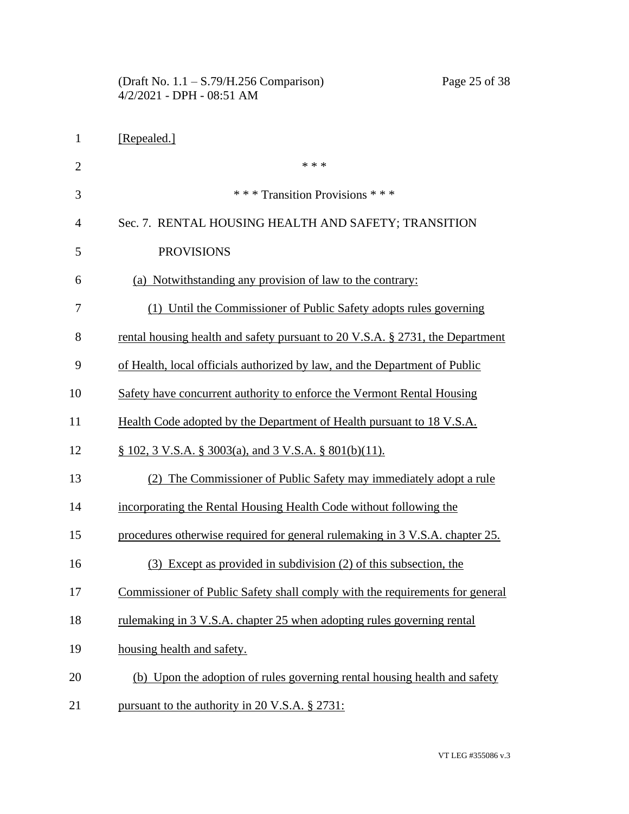|                | Page 25 of 38<br>(Draft No. $1.1 - S.79/H.256$ Comparison)<br>4/2/2021 - DPH - 08:51 AM |
|----------------|-----------------------------------------------------------------------------------------|
| $\mathbf{1}$   | [Repealed.]                                                                             |
| $\overline{2}$ | * * *                                                                                   |
| 3              | *** Transition Provisions ***                                                           |
| 4              | Sec. 7. RENTAL HOUSING HEALTH AND SAFETY; TRANSITION                                    |
| 5              | <b>PROVISIONS</b>                                                                       |
| 6              | (a) Notwithstanding any provision of law to the contrary:                               |
| 7              | (1) Until the Commissioner of Public Safety adopts rules governing                      |
| 8              | rental housing health and safety pursuant to 20 V.S.A. § 2731, the Department           |
| 9              | of Health, local officials authorized by law, and the Department of Public              |
| 10             | Safety have concurrent authority to enforce the Vermont Rental Housing                  |
| 11             | Health Code adopted by the Department of Health pursuant to 18 V.S.A.                   |
| 12             | § 102, 3 <u>V.S.A. § 3003(a)</u> , and 3 V.S.A. § 801(b)(11).                           |
| 13             | (2) The Commissioner of Public Safety may immediately adopt a rule                      |
| 14             | incorporating the Rental Housing Health Code without following the                      |
| 15             | procedures otherwise required for general rulemaking in 3 V.S.A. chapter 25.            |
| 16             | (3) Except as provided in subdivision (2) of this subsection, the                       |
| 17             | Commissioner of Public Safety shall comply with the requirements for general            |
| 18             | rulemaking in 3 V.S.A. chapter 25 when adopting rules governing rental                  |
| 19             | housing health and safety.                                                              |
| 20             | (b) Upon the adoption of rules governing rental housing health and safety               |
| 21             | pursuant to the authority in 20 V.S.A. § 2731:                                          |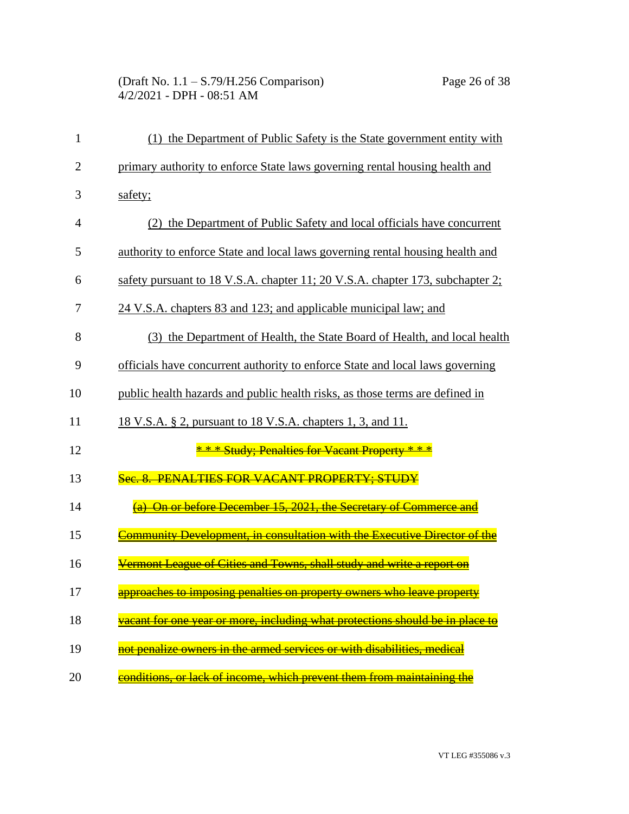(Draft No. 1.1 – S.79/H.256 Comparison) Page 26 of 38 4/2/2021 - DPH - 08:51 AM

| $\mathbf{1}$   | (1) the Department of Public Safety is the State government entity with       |
|----------------|-------------------------------------------------------------------------------|
| $\overline{2}$ | primary authority to enforce State laws governing rental housing health and   |
| 3              | safety;                                                                       |
| $\overline{4}$ | (2) the Department of Public Safety and local officials have concurrent       |
| 5              | authority to enforce State and local laws governing rental housing health and |
| 6              | safety pursuant to 18 V.S.A. chapter 11; 20 V.S.A. chapter 173, subchapter 2; |
| 7              | 24 V.S.A. chapters 83 and 123; and applicable municipal law; and              |
| 8              | (3) the Department of Health, the State Board of Health, and local health     |
| 9              | officials have concurrent authority to enforce State and local laws governing |
| 10             | public health hazards and public health risks, as those terms are defined in  |
| 11             | <u>18 V.S.A. § 2, pursuant to 18 V.S.A. chapters 1, 3, and 11.</u>            |
| 12             | * * * Study; Penalties for Vacant Property * * *                              |
| 13             | Sec. 8. PENALTIES FOR VACANT PROPERTY: STUDY                                  |
| 14             | (a) On or before December 15, 2021, the Secretary of Commerce and             |
| 15             |                                                                               |
| 16             | Vermont League of Cities and Towns, shall study and write a report on         |
| 17             | approaches to imposing penalties on property owners who leave property        |
| 18             | vacant for one year or more, including what protections should be in place to |
| 19             | not penalize owners in the armed services or with disabilities, medical       |
| 20             | conditions, or lack of income, which prevent them from maintaining the        |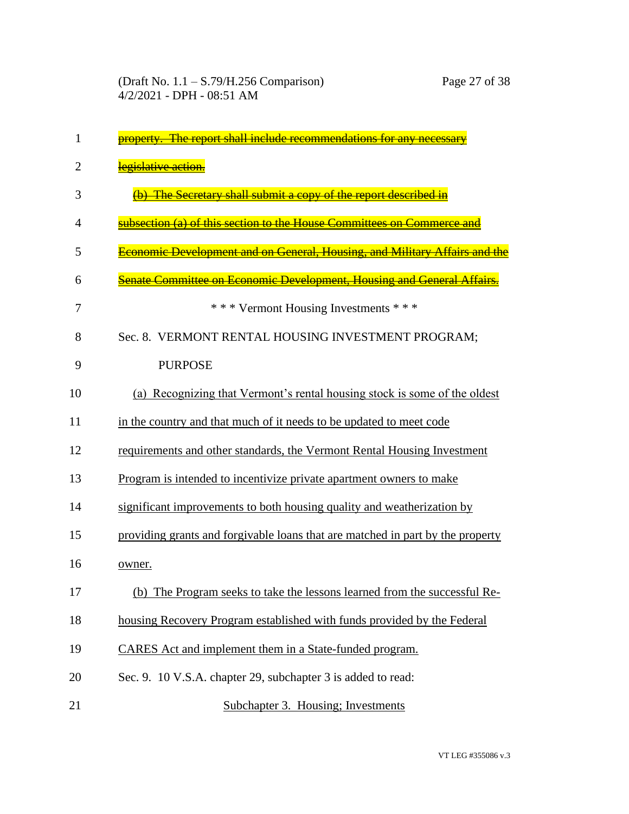| 1              | property. The report shall include recommendations for any necessary              |
|----------------|-----------------------------------------------------------------------------------|
| $\overline{2}$ | legislative action.                                                               |
| 3              | The Secretary shall submit a copy of the report described in                      |
| 4              | subsection (a) of this section to the House Committees on Commerce and            |
| 5              | <b>Economic Development and on General. Housing, and Military Affairs and the</b> |
| 6              | enate Committee on Economic Development. Housing and General Affairs              |
| 7              | *** Vermont Housing Investments ***                                               |
| 8              | Sec. 8. VERMONT RENTAL HOUSING INVESTMENT PROGRAM;                                |
| 9              | <b>PURPOSE</b>                                                                    |
| 10             | (a) Recognizing that Vermont's rental housing stock is some of the oldest         |
| 11             | in the country and that much of it needs to be updated to meet code               |
| 12             | requirements and other standards, the Vermont Rental Housing Investment           |
| 13             | Program is intended to incentivize private apartment owners to make               |
| 14             | significant improvements to both housing quality and weatherization by            |
| 15             | providing grants and forgivable loans that are matched in part by the property    |
| 16             | owner.                                                                            |
| 17             | (b) The Program seeks to take the lessons learned from the successful Re-         |
| 18             | housing Recovery Program established with funds provided by the Federal           |
| 19             | CARES Act and implement them in a State-funded program.                           |
| 20             | Sec. 9. 10 V.S.A. chapter 29, subchapter 3 is added to read:                      |
| 21             | Subchapter 3. Housing; Investments                                                |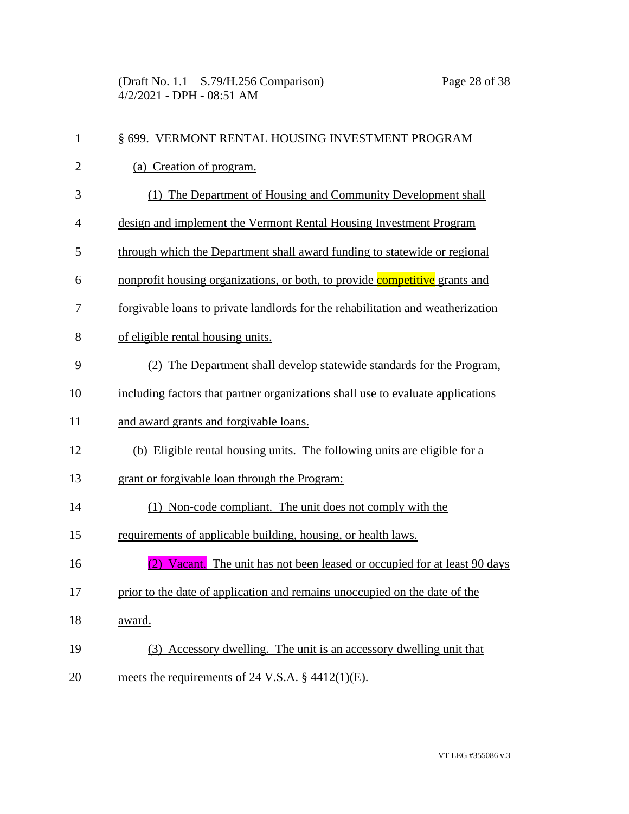| $\mathbf{1}$   | § 699. VERMONT RENTAL HOUSING INVESTMENT PROGRAM                                |
|----------------|---------------------------------------------------------------------------------|
| $\overline{2}$ | (a) Creation of program.                                                        |
| 3              | (1) The Department of Housing and Community Development shall                   |
| $\overline{4}$ | design and implement the Vermont Rental Housing Investment Program              |
| 5              | through which the Department shall award funding to statewide or regional       |
| 6              | nonprofit housing organizations, or both, to provide competitive grants and     |
| 7              | forgivable loans to private landlords for the rehabilitation and weatherization |
| 8              | of eligible rental housing units.                                               |
| 9              | (2) The Department shall develop statewide standards for the Program,           |
| 10             | including factors that partner organizations shall use to evaluate applications |
| 11             | and award grants and forgivable loans.                                          |
| 12             | (b) Eligible rental housing units. The following units are eligible for a       |
| 13             | grant or forgivable loan through the Program:                                   |
| 14             | (1) Non-code compliant. The unit does not comply with the                       |
| 15             | requirements of applicable building, housing, or health laws.                   |
| 16             | (2) Vacant. The unit has not been leased or occupied for at least 90 days       |
| 17             | prior to the date of application and remains unoccupied on the date of the      |
| 18             | award.                                                                          |
| 19             | (3) Accessory dwelling. The unit is an accessory dwelling unit that             |
| 20             | meets the requirements of 24 V.S.A. $\S$ 4412(1)(E).                            |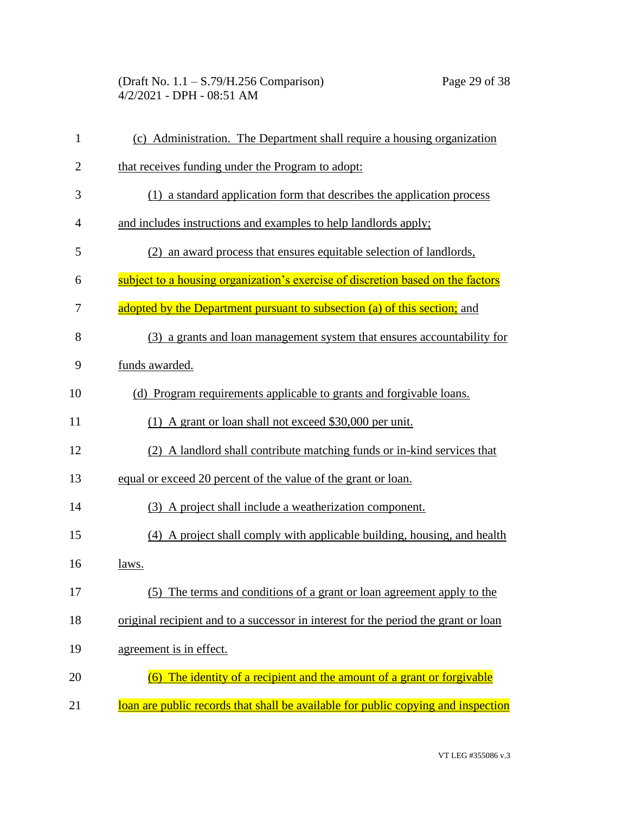| $\mathbf{1}$   | (c) Administration. The Department shall require a housing organization            |
|----------------|------------------------------------------------------------------------------------|
| $\overline{2}$ | that receives funding under the Program to adopt:                                  |
| 3              | (1) a standard application form that describes the application process             |
| 4              | and includes instructions and examples to help landlords apply;                    |
| 5              | (2) an award process that ensures equitable selection of landlords,                |
| 6              | subject to a housing organization's exercise of discretion based on the factors    |
| 7              | adopted by the Department pursuant to subsection (a) of this section; and          |
| 8              | (3) a grants and loan management system that ensures accountability for            |
| 9              | funds awarded.                                                                     |
| 10             | (d) Program requirements applicable to grants and forgivable loans.                |
| 11             | (1) A grant or loan shall not exceed \$30,000 per unit.                            |
| 12             | (2) A landlord shall contribute matching funds or in-kind services that            |
| 13             | equal or exceed 20 percent of the value of the grant or loan.                      |
| 14             | (3) A project shall include a weatherization component.                            |
| 15             | (4) A project shall comply with applicable building, housing, and health           |
| 16             | <u>laws.</u>                                                                       |
| 17             | (5) The terms and conditions of a grant or loan agreement apply to the             |
| 18             | original recipient and to a successor in interest for the period the grant or loan |
| 19             | agreement is in effect.                                                            |
| 20             | (6) The identity of a recipient and the amount of a grant or forgivable            |
| 21             | loan are public records that shall be available for public copying and inspection  |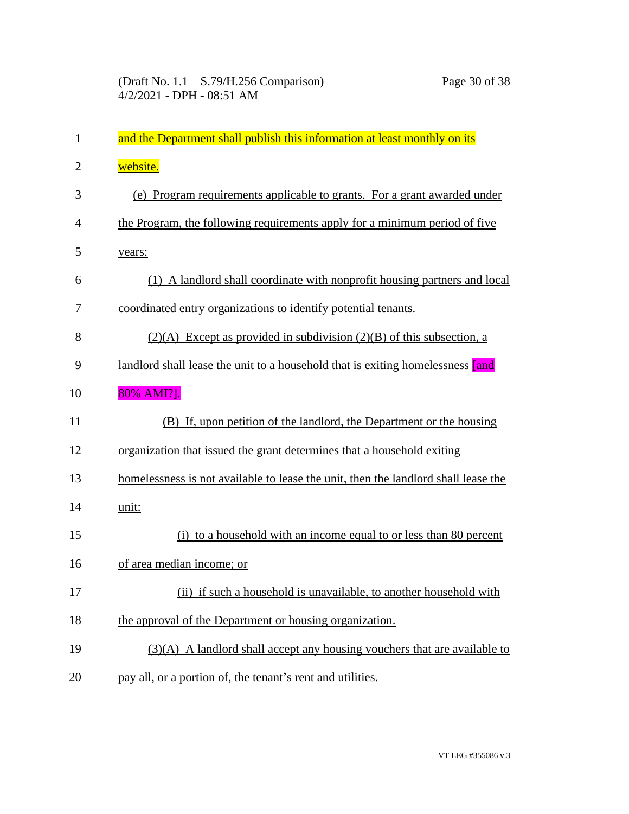| 1              | and the Department shall publish this information at least monthly on its          |
|----------------|------------------------------------------------------------------------------------|
| $\overline{2}$ | website.                                                                           |
| 3              | (e) Program requirements applicable to grants. For a grant awarded under           |
| $\overline{4}$ | the Program, the following requirements apply for a minimum period of five         |
| 5              | years:                                                                             |
| 6              | (1) A landlord shall coordinate with nonprofit housing partners and local          |
| 7              | coordinated entry organizations to identify potential tenants.                     |
| 8              | $(2)(A)$ Except as provided in subdivision $(2)(B)$ of this subsection, a          |
| 9              | landlord shall lease the unit to a household that is exiting homelessness [and     |
| 10             | 80% AMI?].                                                                         |
| 11             | (B) If, upon petition of the landlord, the Department or the housing               |
| 12             | organization that issued the grant determines that a household exiting             |
| 13             | homelessness is not available to lease the unit, then the landlord shall lease the |
| 14             | unit:                                                                              |
| 15             | (i) to a household with an income equal to or less than 80 percent                 |
| 16             | of area median income; or                                                          |
| 17             | (ii) if such a household is unavailable, to another household with                 |
| 18             | the approval of the Department or housing organization.                            |
| 19             | $(3)(A)$ A landlord shall accept any housing vouchers that are available to        |
| 20             | pay all, or a portion of, the tenant's rent and utilities.                         |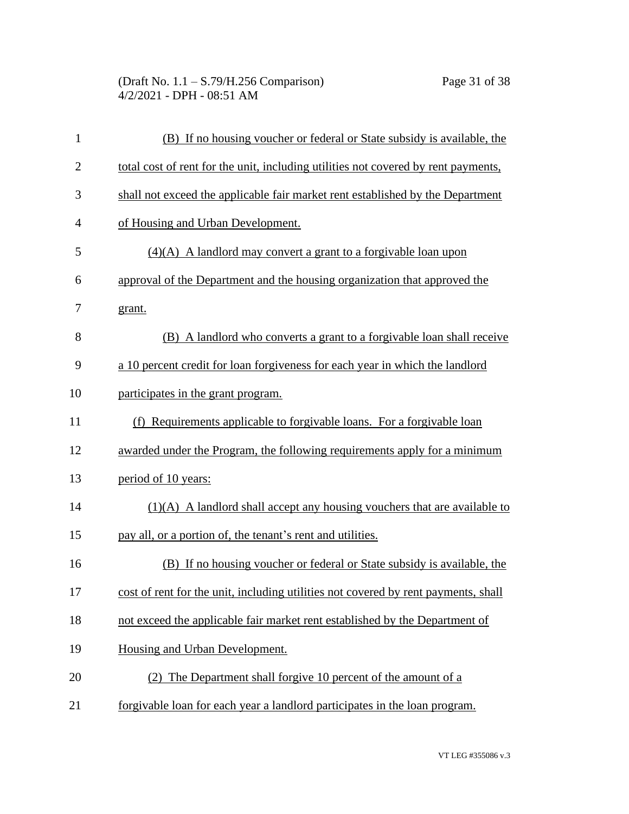(Draft No. 1.1 – S.79/H.256 Comparison) Page 31 of 38 4/2/2021 - DPH - 08:51 AM

| $\mathbf{1}$   | (B) If no housing voucher or federal or State subsidy is available, the            |
|----------------|------------------------------------------------------------------------------------|
| $\overline{2}$ | total cost of rent for the unit, including utilities not covered by rent payments, |
| 3              | shall not exceed the applicable fair market rent established by the Department     |
| $\overline{4}$ | of Housing and Urban Development.                                                  |
| 5              | $(4)(A)$ A landlord may convert a grant to a forgivable loan upon                  |
| 6              | approval of the Department and the housing organization that approved the          |
| 7              | grant.                                                                             |
| 8              | (B) A landlord who converts a grant to a forgivable loan shall receive             |
| 9              | a 10 percent credit for loan forgiveness for each year in which the landlord       |
| 10             | participates in the grant program.                                                 |
| 11             | (f) Requirements applicable to forgivable loans. For a forgivable loan             |
| 12             | awarded under the Program, the following requirements apply for a minimum          |
| 13             | period of 10 years:                                                                |
| 14             | $(1)(A)$ A landlord shall accept any housing vouchers that are available to        |
| 15             | pay all, or a portion of, the tenant's rent and utilities.                         |
| 16             | (B) If no housing voucher or federal or State subsidy is available, the            |
| 17             | cost of rent for the unit, including utilities not covered by rent payments, shall |
| 18             | not exceed the applicable fair market rent established by the Department of        |
| 19             | Housing and Urban Development.                                                     |
| 20             | (2) The Department shall forgive 10 percent of the amount of a                     |
| 21             | forgivable loan for each year a landlord participates in the loan program.         |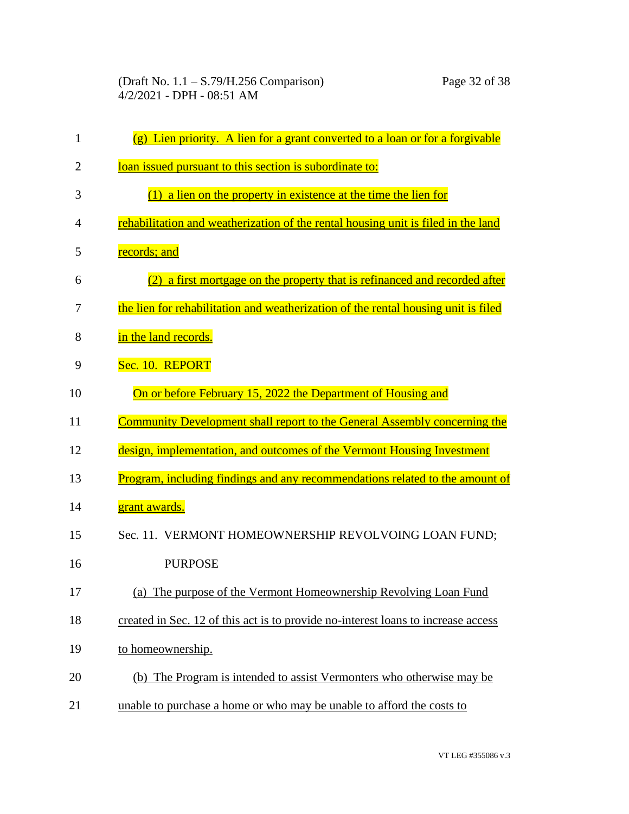| 1              | $(g)$ Lien priority. A lien for a grant converted to a loan or for a forgivable    |
|----------------|------------------------------------------------------------------------------------|
| $\overline{2}$ | loan issued pursuant to this section is subordinate to:                            |
| 3              | $(1)$ a lien on the property in existence at the time the lien for                 |
| 4              | rehabilitation and weatherization of the rental housing unit is filed in the land  |
| 5              | records; and                                                                       |
| 6              | (2) a first mortgage on the property that is refinanced and recorded after         |
| 7              | the lien for rehabilitation and weatherization of the rental housing unit is filed |
| 8              | in the land records.                                                               |
| 9              | Sec. 10. REPORT                                                                    |
| 10             | On or before February 15, 2022 the Department of Housing and                       |
| 11             | Community Development shall report to the General Assembly concerning the          |
| 12             | design, implementation, and outcomes of the Vermont Housing Investment             |
| 13             | Program, including findings and any recommendations related to the amount of       |
| 14             | grant awards.                                                                      |
| 15             | Sec. 11. VERMONT HOMEOWNERSHIP REVOLVOING LOAN FUND;                               |
| 16             | <b>PURPOSE</b>                                                                     |
| 17             | (a) The purpose of the Vermont Homeownership Revolving Loan Fund                   |
| 18             | created in Sec. 12 of this act is to provide no-interest loans to increase access  |
| 19             | to homeownership.                                                                  |
| 20             | (b) The Program is intended to assist Vermonters who otherwise may be              |
| 21             | unable to purchase a home or who may be unable to afford the costs to              |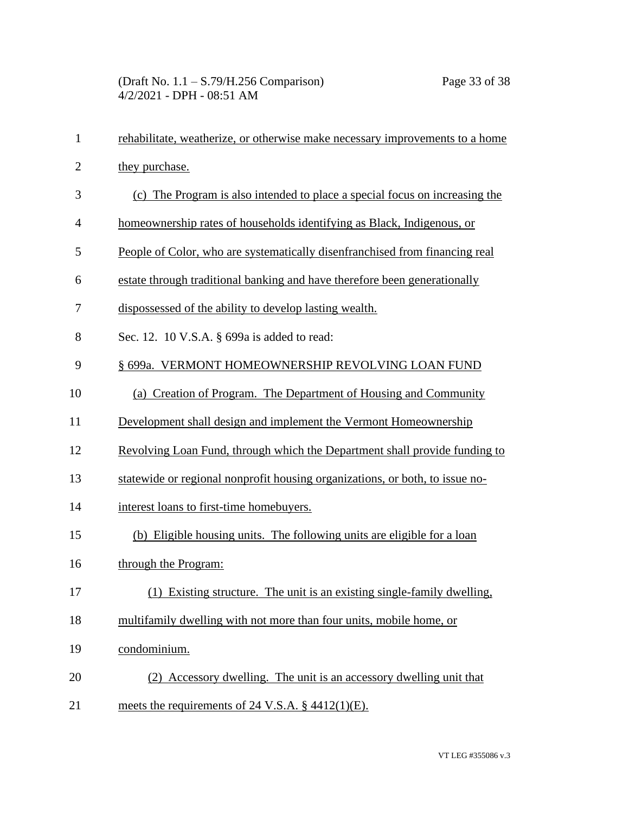| $\mathbf{1}$   | rehabilitate, weatherize, or otherwise make necessary improvements to a home |
|----------------|------------------------------------------------------------------------------|
| $\overline{2}$ | they purchase.                                                               |
| 3              | (c) The Program is also intended to place a special focus on increasing the  |
| $\overline{4}$ | homeownership rates of households identifying as Black, Indigenous, or       |
| 5              | People of Color, who are systematically disenfranchised from financing real  |
| 6              | estate through traditional banking and have therefore been generationally    |
| 7              | dispossessed of the ability to develop lasting wealth.                       |
| 8              | Sec. 12. 10 V.S.A. § 699a is added to read:                                  |
| 9              | § 699a. VERMONT HOMEOWNERSHIP REVOLVING LOAN FUND                            |
| 10             | (a) Creation of Program. The Department of Housing and Community             |
| 11             | Development shall design and implement the Vermont Homeownership             |
| 12             | Revolving Loan Fund, through which the Department shall provide funding to   |
| 13             | statewide or regional nonprofit housing organizations, or both, to issue no- |
| 14             | interest loans to first-time homebuyers.                                     |
| 15             | (b) Eligible housing units. The following units are eligible for a loan      |
| 16             | through the Program:                                                         |
| 17             | (1) Existing structure. The unit is an existing single-family dwelling,      |
| 18             | multifamily dwelling with not more than four units, mobile home, or          |
| 19             | condominium.                                                                 |
| 20             | (2) Accessory dwelling. The unit is an accessory dwelling unit that          |
| 21             | meets the requirements of 24 V.S.A. $\S$ 4412(1)(E).                         |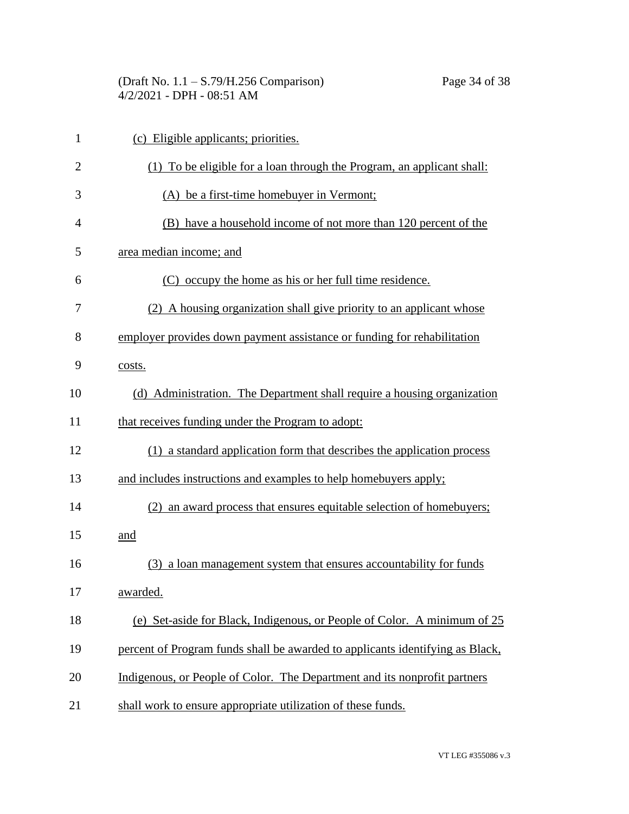| (Draft No. $1.1 - S.79/H.256$ Comparison) | Page 34 of 38 |
|-------------------------------------------|---------------|
| $4/2/2021$ - DPH - 08:51 AM               |               |

| $\mathbf{1}$   | (c) Eligible applicants; priorities.                                          |
|----------------|-------------------------------------------------------------------------------|
| $\overline{2}$ | (1) To be eligible for a loan through the Program, an applicant shall:        |
| 3              | (A) be a first-time homebuyer in Vermont;                                     |
| $\overline{4}$ | (B) have a household income of not more than 120 percent of the               |
| 5              | area median income; and                                                       |
| 6              | (C) occupy the home as his or her full time residence.                        |
| 7              | (2) A housing organization shall give priority to an applicant whose          |
| 8              | employer provides down payment assistance or funding for rehabilitation       |
| 9              | costs.                                                                        |
| 10             | (d) Administration. The Department shall require a housing organization       |
| 11             | that receives funding under the Program to adopt:                             |
| 12             | (1) a standard application form that describes the application process        |
| 13             | and includes instructions and examples to help homebuyers apply;              |
| 14             | (2) an award process that ensures equitable selection of homebuyers;          |
| 15             | and                                                                           |
| 16             | (3) a loan management system that ensures accountability for funds            |
| 17             | awarded.                                                                      |
| 18             | (e) Set-aside for Black, Indigenous, or People of Color. A minimum of 25      |
| 19             | percent of Program funds shall be awarded to applicants identifying as Black, |
| 20             | Indigenous, or People of Color. The Department and its nonprofit partners     |
| 21             | shall work to ensure appropriate utilization of these funds.                  |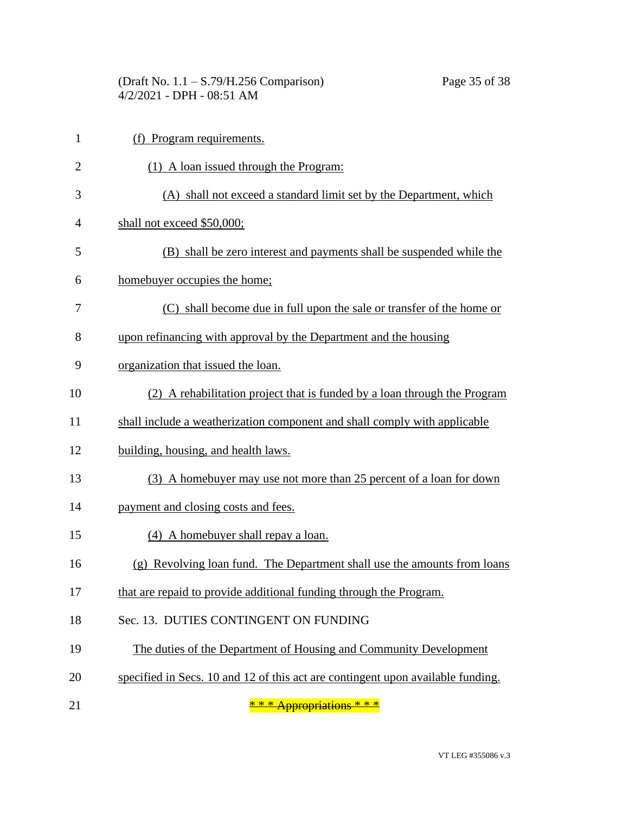(Draft No. 1.1 – S.79/H.256 Comparison) Page 35 of 38 4/2/2021 - DPH - 08:51 AM

| $\mathbf{1}$   | (f) Program requirements.                                                       |
|----------------|---------------------------------------------------------------------------------|
| $\overline{2}$ | (1) A loan issued through the Program:                                          |
| 3              | (A) shall not exceed a standard limit set by the Department, which              |
| 4              | shall not exceed \$50,000;                                                      |
| 5              | (B) shall be zero interest and payments shall be suspended while the            |
| 6              | homebuyer occupies the home;                                                    |
| 7              | (C) shall become due in full upon the sale or transfer of the home or           |
| 8              | upon refinancing with approval by the Department and the housing                |
| 9              | organization that issued the loan.                                              |
| 10             | (2) A rehabilitation project that is funded by a loan through the Program       |
| 11             | shall include a weatherization component and shall comply with applicable       |
| 12             | building, housing, and health laws.                                             |
| 13             | (3) A homebuyer may use not more than 25 percent of a loan for down             |
| 14             | payment and closing costs and fees.                                             |
| 15             | (4) A homebuyer shall repay a loan.                                             |
| 16             | (g) Revolving loan fund. The Department shall use the amounts from loans        |
| 17             | that are repaid to provide additional funding through the Program.              |
| 18             | Sec. 13. DUTIES CONTINGENT ON FUNDING                                           |
| 19             | The duties of the Department of Housing and Community Development               |
| 20             | specified in Secs. 10 and 12 of this act are contingent upon available funding. |
|                |                                                                                 |

21  $\frac{1}{2}$   $\frac{1}{2}$   $\frac{1}{2}$   $\frac{1}{2}$   $\frac{1}{2}$   $\frac{1}{2}$   $\frac{1}{2}$   $\frac{1}{2}$   $\frac{1}{2}$   $\frac{1}{2}$   $\frac{1}{2}$   $\frac{1}{2}$   $\frac{1}{2}$   $\frac{1}{2}$   $\frac{1}{2}$   $\frac{1}{2}$   $\frac{1}{2}$   $\frac{1}{2}$   $\frac{1}{2}$   $\frac{1}{2}$   $\frac{1}{2}$   $\frac{1}{2}$ 

VT LEG #355086 v.3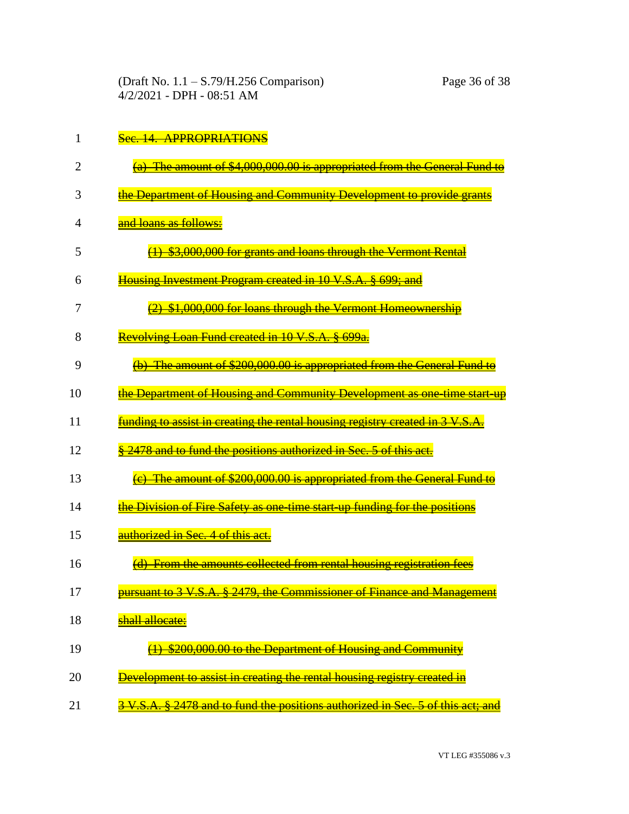|  |  |  | $\mathcal{R}_{\mathsf{a}\alpha}$ 14 ADDD ADD I A TIANS |
|--|--|--|--------------------------------------------------------|
|  |  |  | <del>500. E. ALTAVIATIVA I</del>                       |

|  | (a) The amount of $A$ 000 000 00 is appropriated from the General Fund to<br><u>ια) The amount of C<sub>1</sub>000,000,00 is appropriated from the Ocheral I und to</u> |  |
|--|-------------------------------------------------------------------------------------------------------------------------------------------------------------------------|--|
|  |                                                                                                                                                                         |  |

- 3 the Department of Housing and Community Development to provide grants
- 4 and loans as follows:
- 5 (1) \$3,000,000 for grants and loans through the Vermont Rental
- 6 Housing Investment Program created in 10 V.S.A. § 699: and
- 7  $\frac{(2)}{2}$  \$1,000,000 for loans through the Vermont Homeownership
- 8 Revolving Loan Fund created in 10 V.S.A. § 699a.
- 9 (b) The amount of \$200,000.00 is appropriated from the General Fund to
- 10 **the Department of Housing and Community Development as one-time start-up**
- 11 **funding to assist in creating the rental housing registry created in 3 V.S.A.**
- 12 **§ 2478 and to fund the positions authorized in Sec. 5 of this act.**
- 13 **(e)** The amount of \$200,000.00 is appropriated from the General Fund to
- 14 the Division of Fire Safety as one-time start-up funding for the positions
- 15 **authorized in Sec. 4 of this act.**
- 16 **(d)** From the amounts collected from rental housing registration fees
- 17 **Pursuant to 3 V.S.A. § 2479, the Commissioner of Finance and Management**
- 18 **shall allocate:**
- 19 **(a) \$200,000.00 to the Department of Housing and Community**
- 20 **Development to assist in creating the rental housing registry created in**
- 21 3 V.S.A. § 2478 and to fund the positions authorized in Sec. 5 of this act; and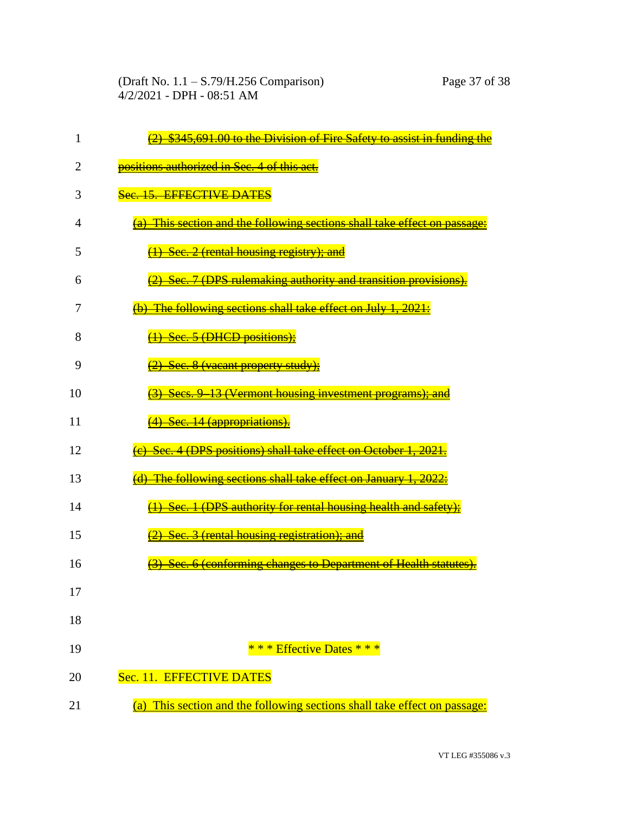| 1  | $\frac{2}{2}$ \$345,691.00 to the Division of Fire Safety to assist in funding the |
|----|------------------------------------------------------------------------------------|
| 2  | positions authorized in Sec. 4 of this act.                                        |
| 3  | Sec. 15. EFFECTIVE DATES                                                           |
| 4  | (a) This section and the following sections shall take effect on passage           |
| 5  | (1) Sec. 2 (rental housing registry); and                                          |
| 6  | (2) Sec. 7 (DPS rulemaking authority and transition provisions).                   |
| 7  | (b) The following sections shall take effect on July 1, 2021:                      |
| 8  | $\overline{(1)}$ Sec. 5 (DHCD positions);                                          |
| 9  | (2) Sec. 8 (vacant property study);                                                |
| 10 | <b>Secs. 9 13 (Vermont housing investment programs); and</b>                       |
| 11 | (4) Sec. 14 (appropriations).                                                      |
| 12 | (e) Sec. 4 (DPS positions) shall take effect on October 1, 2021.                   |
| 13 | (d) The following sections shall take effect on January 1, 2022:                   |
| 14 | (1) Sec. 1 (DPS authority for rental housing health and safety)                    |
| 15 | (2) Sec. 3 (rental housing registration); and                                      |
| 16 | Sec. 6 (conforming changes to Department of Health statutes).                      |
| 17 |                                                                                    |
| 18 |                                                                                    |
| 19 | * * * Effective Dates * * *                                                        |
| 20 | Sec. 11. EFFECTIVE DATES                                                           |
| 21 | (a) This section and the following sections shall take effect on passage:          |